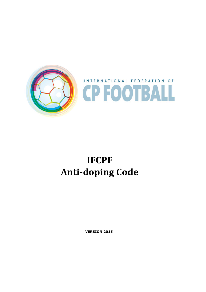

# **IFCPF Anti-doping Code**

**VERSION 2015**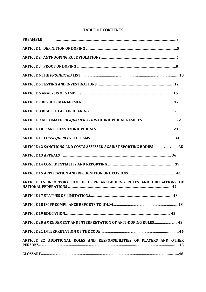| <b>PREAMBLE</b>                                                        |  |
|------------------------------------------------------------------------|--|
|                                                                        |  |
|                                                                        |  |
|                                                                        |  |
|                                                                        |  |
|                                                                        |  |
|                                                                        |  |
|                                                                        |  |
|                                                                        |  |
|                                                                        |  |
|                                                                        |  |
|                                                                        |  |
| ARTICLE 12 SANCTIONS AND COSTS ASSESSED AGAINST SPORTING BODIES 35     |  |
|                                                                        |  |
|                                                                        |  |
|                                                                        |  |
| ARTICLE 16 INCORPORATION OF IFCPF ANTI-DOPING RULES AND OBLIGATIONS OF |  |
|                                                                        |  |
|                                                                        |  |
|                                                                        |  |
| ARTICLE 20 AMENDEMENT AND INTERPRETATION OF ANTI-DOPING RULES 43       |  |
|                                                                        |  |
| ARTICLE 22 ADDITIONAL ROLES AND RESPONSIBILITIES OF PLAYERS AND OTHER  |  |
|                                                                        |  |

# **TABLE OF CONTENTS**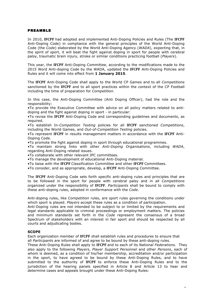#### PREAMBLE

In 2010, **IFCPF** had adopted and implemented Anti-Doping Policies and Rules (The **IFCPF** Anti-Doping Code) in compliance with the general principles of the World Anti-Doping Code (the *Code*) elaborated by the World Anti-Doping Agency (*WADA*), expecting that, in the spirit of sport, it will beat the fight against doping in sport for people with cerebral palsy, traumatic brain injury, stroke or similar conditions practicing football (*Players*).

This year, the **IFCPF** Anti-Doping Committee, according to the modifications made to the 2015 Word Anti-doping Code by the WADA, updated the **IFCPF** Anti-Doping Policies and Rules and it will come into effect from **1 January 2015**.

The **IFCPF** Anti-Doping Code shall apply to the World CP Games and to all *Competitions* sanctioned by the **IFCPF** and to all sport practices within the context of the CP Football including the time of preparation for *Competition*.

In this case, the Anti-Doping Committee (Anti Doping Officer), had the role and the responsibility:

•To provide the Executive Committee with advice on all policy matters related to antidoping and the fight against doping in sport - in particular:

•To revise the **IFCPF** Anti-Doping Code and corresponding guidelines and documents, as required.

•To establish In*-Competition Testing* policies for all **IFCPF** sanctioned *Competitions*, including the World Games, and *Out-of-Competition Testing* policies.

•To represent **IFCPF** in results management matters in accordance with the **IFCPF** Anti-Doping Code.

•To promote the fight against doping in sport through educational programmes.

•To maintain strong links with other *Anti-Doping Organisations*, including *WADA*, regarding Anti-Doping related issues.

•To collaborate with other relevant IPC committees.

•To manage the development of educational Anti-Doping material.

- •To liaise with the **IFCPF** Classification Committee and other **IFCPF** Committees.
- •To consider, and as appropriate, develop, a **IFCPF** Anti-Doping Committee.

The **IFCPF** Anti-Doping Code sets forth specific anti-doping rules and principles that are to be followed in the sport for people with cerebral palsy and in all *Competitions* organized under the responsibility of **IFCPF**. *Participants* shall be bound to comply with these anti-doping rules, adopted in conformance with the *Code*.

Anti-doping rules, like *Competition* rules, are sport rules governing the conditions under which sport is played. *Players* accept these rules as a condition of participation.

Anti-Doping rules are not intended to be subject to or limited by the requirements and legal standards applicable to criminal proceedings or employment matters. The policies and minimum standards set forth in the *Code* represent the consensus of a broad Spectrum of stakeholders with an interest in fair sport and should be respected by all courts and adjudicating bodies.

#### **SCOPE**

Each organization member of **IFCPF** shall establish rules and procedures to ensure that all *Participant*s are informed of and agree to be bound by these anti-doping rules.

These Anti-Doping Rules shall apply to **IFCPF** and to each of its *National Federations.* They also apply to the following *Players*, *Player Support Personnel* and other *Persons*, each of whom is deemed, as a condition of his/her membership, accreditation and/or participation in the sport, to have agreed to be bound by these Anti-Doping Rules, and to have submitted to the authority of **IFCPF** to enforce these Anti-Doping Rules and to the jurisdiction of the hearing panels specified in Article 8 and Article 13 to hear and determine cases and appeals brought under these Anti-Doping Rules: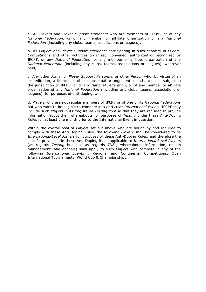a. All *Players* and *Player Support Personnel* who are members of **IFCPF**, or of any *National Federation*, or of any member or affiliate organization of any *National Federation* (including any clubs, teams, associations or leagues);

b. All *Players* and *Player Support Personnel* participating in such capacity in *Events*, *Competitions* and other activities organized, convened, authorized or recognized by **IFCPF**, or any *National Federation*, or any member or affiliate organization of any *National Federation* (including any clubs, teams, associations or leagues), wherever held;

c. Any other *Player* or *Player Support Personnel* or other *Person* who, by virtue of an accreditation, a licence or other contractual arrangement, or otherwise, is subject to the jurisdiction of **IFCPF,** or of any *National Federation*, or of any member or affiliate organization of any *National Federation* (including any clubs, teams, associations or leagues), for purposes of anti-doping; and

d. *Players* who are not regular members of **IFCPF** or of one of its *National Federations* but who want to be eligible to compete in a particular *International Event*. **IFCPF** may include such *Players* in its *Registered Testing Pool* so that they are required to provide information about their whereabouts for purposes of *Testing* under these Anti-Doping Rules for at least one month prior to the International Event in question.

Within the overall pool of *Players* set out above who are bound by and required to comply with these Anti-Doping Rules, the following *Players* shall be considered to be *International-Level Players* for purposes of these Anti-Doping Rules, and therefore the specific provisions in these Anti-Doping Rules applicable to *International-Level Players*  (as regards *Testing* but also as regards *TUEs*, whereabouts information, results management, and appeals) shall apply to such *Players* who compete in any of the following *International Events* : Regional and Continental Competitions, Open International Tournaments, World Cup & Championships.

 $\overline{a}$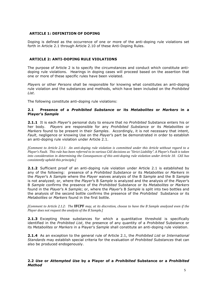## **ARTICLE 1: DEFINITION OF DOPING**

Doping is defined as the occurrence of one or more of the anti-doping rule violations set forth in Article 2.1 through Article 2.10 of these Anti-Doping Rules.

## **ARTICLE 2: ANTI-DOPING RULE VIOLATIONS**

The purpose of Article 2 is to specify the circumstances and conduct which constitute antidoping rule violations. Hearings in doping cases will proceed based on the assertion that one or more of these specific rules have been violated.

*Player*s or other *Persons* shall be responsible for knowing what constitutes an anti-doping rule violation and the substances and methods, which have been included on the *Prohibited List*.

The following constitute anti-doping rule violations:

## **2.1 Presence of a** *Prohibited Substance* **or its** *Metabolites* **or** *Markers* **in a Player's** *Sample*

**2.1.1** It is each *Player*'s personal duty to ensure that no *Prohibited* Substance enters his or her body. *Players* are responsible for any *Prohibited Substance* or its *Metabolites* or *Markers* found to be present in their *Samples*. Accordingly, it is not necessary that intent, *Fault*, negligence or knowing Use on the *Player*'s part be demonstrated in order to establish an anti-doping rule violation under Article 2.1.

*[Comment to Article 2.1.1: An anti-doping rule violation is committed under this Article without regard to a Player's Fault.* This rule has been referred to in various CAS decisions as "Strict Liability". A Player's Fault is taken *into consideration in determining the Consequences of this anti-doping rule violation under Article 10. CAS has consistently upheld this principle.]* 

**2.1.2** Sufficient proof of an anti-doping rule violation under Article 2.1 is established by any of the following: presence of a *Prohibited Substance* or its *Metabolites* or *Markers* in the *Player*'s A *Sample* where the *Player* waives analysis of the B *Sample* and the B *Sample*  is not analyzed; or, where the *Player*'s B *Sample* is analyzed and the analysis of the *Player*'s B *Sample* confirms the presence of the *Prohibited* Substance or its *Metabolites* or *Markers* found in the *Player*'s A *Sample*; or, where the *Player*'s B *Sample* is split into two bottles and the analysis of the second bottle confirms the presence of the *Prohibited* Substance or its *Metabolites* or *Markers* found in the first bottle.

*[Comment to Article 2.1.2: The IFCPF may, at its discretion, choose to have the B Sample analyzed even if the Player does not request the analysis of the B Sample.]* 

**2.1.3** Excepting those substances for which a quantitative threshold is specifically identified in the *Prohibited List*, the presence of any quantity of a *Prohibited* Substance or its *Metabolites* or *Markers* in a Player's *Sample* shall constitute an anti-doping rule violation.

**2.1.4** As an exception to the general rule of Article 2.1, the *Prohibited List* or *International Standards* may establish special criteria for the evaluation of *Prohibited Substances* that can also be produced endogenously.

#### **2.2** *Use* **or** *Attempted Use* **by a Player of a** *Prohibited* **Substance or a** *Prohibited Method*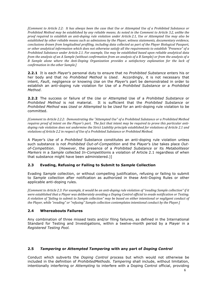*[Comment to Article 2.2: It has always been the case that Use or Attempted Use of a Prohibited Substance or Prohibited Method may be established by any reliable means. As noted in the Comment to Article 3.2, unlike the proof required to establish an anti-doping rule violation under Article 2.1, Use or Attempted Use may also be*  $e$ stablished by other reliable means such as admissions by the Player, witness statements, documentary evidence,  $c$ onclusions drawn from longitudinal profiling, including data collected as part of the Player Biological Passport, *or other analytical information which does not otherwise satisfy all the requirements to establish "Presence" of a Prohibited Substance under Article 2.1. For example, Use may be established based upon reliable analytical data from the analysis of an A Sample (without confirmation from an analysis of a B Sample) or from the analysis of a* B Sample alone where the Anti-Doping Organization provides a satisfactory explanation for the lack of *confirmation in the other Sample.]* 

**2.2.1** It is each *Player*'s personal duty to ensure that no *Prohibited Substance* enters his or her body and that no *Prohibited Method* is *Used*. Accordingly, it is not necessary that intent, *Fault*, negligence or knowing *Use* on the *Player*'s part be demonstrated in order to establish an anti-doping rule violation for Use of a *Prohibited Substance* or a *Prohibited Method*.

**2.2.2** The success or failure of the *Use* or *Attempt*ed Use of a *Prohibited Substance* or *Prohibited Method* is not material. It is sufficient that the *Prohibited Substance* or *Prohibited Method* was *Used* or *Attempted* to be *Used* for an anti-doping rule violation to be committed.

*[Comment to Article 2.2.2: Demonstrating the "Attempted Use" of a Prohibited Substance or a Prohibited Method requires proof of intent on the Player's part. The fact that intent may be required to prove this particular anti*doping rule violation does not undermine the Strict Liability principle established for violations of Article 2.1 and violations of Article 2.2 in respect of Use of a Prohibited Substance or Prohibited Method.

A Player's *Use* of a *Prohibited* Substance constitutes an anti-doping rule violation unless such substance is not *Prohibited Out-of-Competition* and the *Player*'s *Use* takes place *Outof-Competition*. (However, the presence of a *Prohibited Substance* or its *Metabolites*or *Markers* in a *Sample* collected *In-Competition*is a violation of Article 2.1 regardless of when that substance might have been administered.)]

# **2.3 Evading, Refusing or Failing to Submit to** *Sample* **Collection**

Evading *Sample* collection, or without compelling justification, refusing or failing to submit to *Sample* collection after notification as authorized in these Anti-Doping Rules or other applicable anti-doping rules.

*[Comment to Article 2.3: For example, it would be an anti-doping rule violation of "evading Sample collection" if it were established that a Player was deliberately avoiding a Doping Control official to evade notification or Testing.* A violation of "failing to submit to Sample collection" may be based on either intentional or negligent conduct of *the Player, while "evading" or "refusing" Sample collection contemplates intentional conduct by the Player.]* 

# **2.4 Whereabouts Failures**

Any combination of three missed tests and/or filing failures, as defined in the International Standard for Testing and Investigations, within a twelve-month period by a Player in a *Registered Testing Pool.*

# **2.5** *Tampering* **or** *Attempted Tampering* **with any part of** *Doping Control*

Conduct which subverts the *Doping Control* process but which would not otherwise be included in the definition of *ProhibitedMethods*. *Tampering* shall include, without limitation, intentionally interfering or *Attempting* to interfere with a Doping Control official, providing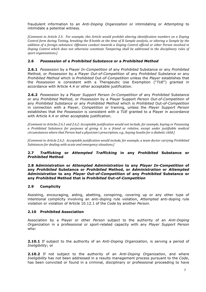fraudulent information to an *Anti-Doping Organization* or intimidating or *Attempting* to intimidate a potential witness.

*[Comment to Article 2.5: For example, this Article would prohibit altering identification numbers on a Doping Control form during Testing, breaking the B bottle at the time of B Sample analysis, or altering a Sample by the* addition of a foreign substance. Offensive conduct towards a Doping Control official or other Person involved in Doping Control which does not otherwise constitute Tampering shall be addressed in the disciplinary rules of *sport(organizations.]*

#### **2.6** *Possession* **of a** *Prohibited Substance* **or a** *Prohibited Method*

**2.6.1** *Possession* by a Player *In-Competition* of any *Prohibited* Substance or any *Prohibited*  Method, or *Possession* by a Player *Out-of-Competition* of any *Prohibited Substance* or any *Prohibited Method* which is *Prohibited* Out*-of-Competition* unless the *Player* establishes that the *Possession* is consistent with a Therapeutic Use Exemption ("*TUE*") granted in accordance with Article 4.4 or other acceptable justification.

**2.6.2** *Possession* by a Player *Support Person In-Competition* of any *Prohibited* Substance or any *Prohibited* Method, or *Possession* by a Player Support *Person Out-of-Competition* of any *Prohibited Substance* or any *Prohibited Method* which is *Prohibited* Out*-of-Competition* in connection with a Player, *Competition* or training, unless the *Player Support Person* establishes that the *Possession* is consistent with a *TUE* granted to a Player in accordance with Article 4.4 or other acceptable justification.

*[Comment to Articles 2.6.1 and 2.6.2: Acceptable justification would not include, for example, buying or Possessing*  $\alpha$  Prohibited Substance for purposes of giving it to a friend or relative, except under justifiable medical *circumstances where that Person had a physician's prescription, e.g., buying Insulin for a diabetic child.]* 

*[Comment to Article 2.6.2: Acceptable justification would include, for example, a team doctor carrying Prohibited Substances for dealing with acute and emergency situations.]* 

## **2.7** *Trafficking* **or** *Attempted Trafficking* **in any** *Prohibited* **Substance or**  *Prohibited* **Method**

#### **2.8 Administration or** *Attempted Administration* **to any** *Player In-Competition* **of any** *Prohibited* **Substance or** *Prohibited* **Method, or** *Administration* **or** *Attempted Administration* **to any** *Player Out-of-Competition* **of any** *Prohibited* **Substance or any** *Prohibited* **Method that is** *Prohibited* **Out***-of-Competition*

# **2.9 Complicity**

Assisting, encouraging, aiding, abetting, conspiring, covering up or any other type of intentional complicity involving an anti-doping rule violation, *Attempted* anti-doping rule violation or violation of Article 10.12.1 of the *Code* by another *Person*.

#### **2.10 Prohibited Association**

Association by a Player or other *Person* subject to the authority of an *Anti-Doping Organization* in a professional or sport-related capacity with any *Player Support Person* who:

**2.10.1** If subject to the authority of an *Anti-Doping Organization*, is serving a period of *Ineligibility*; or

**2.10.2** If not subject to the authority of an *Anti-Doping Organization*, and where *Ineligibility* has not been addressed in a results management process pursuant to the *Code*, has been convicted or found in a criminal, disciplinary or professional proceeding to have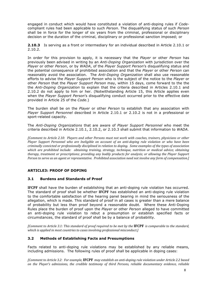engaged in conduct which would have constituted a violation of anti-doping rules if *Code*compliant rules had been applicable to such *Person*. The disqualifying status of such *Person* shall be in force for the longer of six years from the criminal, professional or disciplinary decision or the duration of the criminal, disciplinary or professional sanction imposed; or

**2.10.3** Is serving as a front or intermediary for an individual described in Article 2.10.1 or 2.10.2.

In order for this provision to apply, it is necessary that the *Player* or other *Person* has previously been advised in writing by an *Anti-Doping Organization* with jurisdiction over the *Player* or other *Person*, or by *WADA*, of the *Player Support Person*'s disqualifying status and the potential consequence of prohibited association and that the *Player* or other *Person* can reasonably avoid the association. The *Anti-Doping Organization* shall also use reasonable efforts to advise the *Player Support Person* who is the subject of the notice to the *Player* or other *Person* that the *Player Support Person* may, within 15 days, come forward to the the the *Anti-Doping Organization* to explain that the criteria described in Articles 2.10.1 and 2.10.2 do not apply to him or her. (Notwithstanding Article 15, this Article applies even when the *Player Support Person*'s disqualifying conduct occurred prior to the effective date provided in Article 25 of the *Code*.)

The burden shall be on the *Player* or other *Person* to establish that any association with *Player Support Personnel* described in Article 2.10.1 or 2.10.2 is not in a professional or sport-related capacity.

The *Anti-Doping Organizations* that are aware of *Player Support Personnel* who meet the criteria described in Article 2.10.1, 2.10.2, or 2.10.3 shall submit that information to *WADA*.

*[Comment to Article 2.10: Players and other Persons must not work with coaches, trainers, physicians or other Player Support Personnel who are Ineligible on account of an anti-doping rule violation or who have been criminally convicted or professionally disciplined in relation to doping. Some examples of the types of association which are prohibited include: obtaining training, strategy, technique, nutrition or medical advice; obtaining therapy, treatment or prescriptions; providing any bodily products for analysis; or allowing the Player Support Person to serve as an agent or representative. Prohibited association need not involve any form of compensation.]* 

# **ARTICLE3: PROOF OF DOPING**

# **3.1 Burdens and Standards of Proof**

**IFCPF** shall have the burden of establishing that an anti-doping rule violation has occurred. The standard of proof shall be whether **IFCPF** has established an anti-doping rule violation to the comfortable satisfaction of the hearing panel bearing in mind the seriousness of the allegation, which is made. This standard of proof in all cases is greater than a mere balance of probability but less than proof beyond a reasonable doubt. Where these Anti-Doping Rules place the burden of proof upon the *Player* or other *Person* alleged to have committed an anti-doping rule violation to rebut a presumption or establish specified facts or circumstances, the standard of proof shall be by a balance of probability.

*[Comment to Article 3.1: This standard of proof required to be met by the IFCPF is comparable to the standard, which is applied in most countries to cases involving professional misconduct.]* 

# **3.2 Methods of Establishing Facts and Presumptions**

Facts related to anti-doping rule violations may be established by any reliable means, including admissions. The following rules of proof shall be applicable in doping cases:

*[Comment to Article 3.2: For example, IFCPF may establish an anti-doping rule violation under Article 2.2 based* on the Player's admissions, the credible testimony of third Persons, reliable documentary evidence, reliable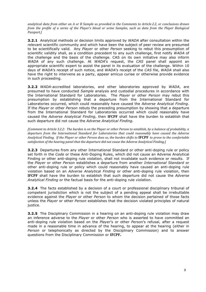*analytical data from either an A or B Sample as provided in the Comments to Article 2.2, or conclusions drawn from the profile of a series of the Player's blood or urine Samples, such as data from the Player Biological Passport.]*

**3.2.1** Analytical methods or decision limits approved by *WADA* after consultation within the relevant scientific community and which have been the subject of peer review are presumed to be scientifically valid. Any *Player* or other *Person* seeking to rebut this presumption of scientific validity shall, as a condition precedent to any such challenge, first notify *WADA* of the challenge and the basis of the challenge. CAS on its own initiative may also inform *WADA* of any such challenge. At *WADA*'s request, the *CAS* panel shall appoint an appropriate scientific expert to assist the panel in its evaluation of the challenge. Within 10 days of *WADA*'s receipt of such notice, and *WADA*'s receipt of the *CAS* file, *WADA* shall also have the right to intervene as a party, appear amicus curiae or otherwise provide evidence in such proceeding.

**3.2.2** *WADA*-accredited laboratories, and other laboratories approved by *WADA*, are presumed to have conducted *Sample* analysis and custodial procedures in accordance with the International Standard for Laboratories. The *Player* or other *Person* may rebut this presumption by establishing that a departure from the International Standard for Laboratories occurred, which could reasonably have caused the *Adverse Analytical Finding*. If the *Player* or other *Person* rebuts the preceding presumption by showing that a departure from the International Standard for Laboratories occurred which could reasonably have caused the *Adverse Analytical Finding*, then **IFCPF** shall have the burden to establish that such departure did not cause the *Adverse Analytical Finding.*

*[Comment to Article 3.2.2: The burden is on the Player or other Person to establish, by a balance of probability, a departure from the International Standard for Laboratories that could reasonably have caused the Adverse Analytical Finding. If the Player or other Person does so, the burden shifts to IFCPF to prove to the comfortable* satisfaction of the hearing panel that the departure did not cause the Adverse Analytical Finding.]

**3.2.3** Departures from any other International Standard or other anti-doping rule or policy set forth in the *Code* or these Anti-Doping Rules, which did not cause an Adverse Analytical Finding or other anti-doping rule violation, shall not invalidate such evidence or results. If the *Player* or other *Person* establishes a departure from another *International Standard* or other anti-doping rule or policy which could reasonably have caused an anti-doping rule violation based on an *Adverse Analytical Finding* or other anti-doping rule violation, then **IFCPF** shall have the burden to establish that such departure did not cause the *Adverse Analytical Finding* or the factual basis for the anti-doping rule violation.

**3.2.4** The facts established by a decision of a court or professional disciplinary tribunal of competent jurisdiction which is not the subject of a pending appeal shall be irrebuttable evidence against the *Player* or other *Person* to whom the decision pertained of those facts unless the *Player* or other *Person* establishes that the decision violated principles of natural justice.

**3.2.5** The Disciplinary Commission in a hearing on an anti-doping rule violation may draw an inference adverse to the *Player* or other *Person* who is asserted to have committed an anti-doping rule violation based on the *Player*'s or other *Person*'s refusal, after a request made in a reasonable time in advance of the hearing, to appear at the hearing (either in *Person* or telephonically as directed by the Disciplinary Commission) and to answer questions from the Disciplinary Commission or **IFCPF.**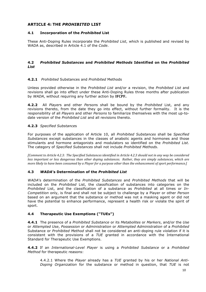# **ARTICLE 4: THE** *PROHIBITED* **LIST**

# **4.1 Incorporation of the** *Prohibited* **List**

These Anti-Doping Rules incorporate the *Prohibited List*, which is published and revised by WADA as, described in Article 4.1 of the *Code*.

# **4.2** *Prohibited Substances* **and** *Prohibited Methods* **Identified on the** *Prohibited List*

# **4.2.1** *Prohibited* Substances and *Prohibited* Methods

Unless provided otherwise in the *Prohibited List* and/or a revision, the *Prohibited List* and revisions shall go into effect under these Anti-Doping Rules three months after publication by *WADA*, without requiring any further action by **IFCPF.**

**4.2.2** All *Player*s and other *Person*s shall be bound by the *Prohibited* List, and any revisions thereto, from the date they go into effect, without further formality. It is the responsibility of all *Players* and other *Persons* to familiarize themselves with the most up-todate version of the *Prohibited List* and all revisions thereto.

# **4.2.3** *Specified Substance*s

For purposes of the application of Article 10, all *Prohibited Substances* shall be *Specified Substances* except substances in the classes of anabolic agents and hormones and those stimulants and hormone antagonists and modulators so identified on the *Prohibited List*. The category of *Specified Substances* shall not include *Prohibited Methods*.

*[Comment to Article 4.2.3: The Specified Substances identified in Article 4.2.3 should not in any way be considered less important or less dangerous than other doping substances. Rather, they are simply substances, which are more likely to have been consumed by a Player for a purpose other than the enhancement of sport performance.]* 

# **4.3** *WADA***'s Determination of the** *Prohibited List*

*WADA*'s determination of the *Prohibited Substances* and *Prohibited Methods* that will be included on the *Prohibited* List, the classification of substances into categories on the *Prohibited* List, and the classification of a substance as *Prohibited* at all times or *In-Competition* only, is final and shall not be subject to challenge by a Player or other *Person* based on an argument that the substance or method was not a masking agent or did not have the potential to enhance performance, represent a health risk or violate the spirit of sport.

# **4.4 Therapeutic Use Exemptions ("TUEs")**

**4.4.1** The presence of a *Prohibited Substance* or its *Metabolites* or *Markers*, and/or the *Use* or *Attempted Use*, *Possession* or *Administration* or *Attempted Administration* of a *Prohibited*  Substance or *Prohibited Method* shall not be considered an anti-doping rule violation if it is consistent with the provisions of a *TUE* granted in accordance with the International Standard for Therapeutic Use Exemptions.

**4.4.2** If an *International-Level Player* is using a *Prohibited Substance* or a *Prohibited Method* for therapeutic reasons:

4.4.2.1 Where the *Player* already has a *TUE* granted by his or her *National Anti-Doping Organization* for the substance or method in question, that *TUE* is not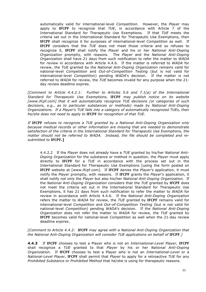automatically valid for international-level *Competition.* However, the *Player* may apply to **IFCPF** to recognize that *TUE*, in accordance with Article 7 of the International Standard for Therapeutic Use Exemptions*.* If that *TUE* meets the criteria set out in the International Standard for Therapeutic Use Exemptions, then **IFCPF** shall recognize it for purposes of international-level *Competition* as well. If **IFCPF** considers that the *TUE* does not meet those criteria and so refuses to recognize it, **IFCPF** shall notify the *Player* and his or her *National Anti-Doping Organization* promptly, with reasons. The *Player* and the *National Anti-Doping Organization* shall have 21 days from such notification to refer the matter to *WADA* for review in accordance with Article 4.4.6. If the matter is referred to *WADA* for review, the *TUE* granted by the *National Anti-Doping Organization* remains valid for national-level *Competition* and *Out-of-Competition Testing* (but is not valid for international-level *Competition*) pending *WADA*'s decision. If the matter is not referred to *WADA* for review, the *TUE* becomes invalid for any purpose when the 21 day review deadline expires.

*[Comment to Article 4.4.2.1: Further to Articles 5.6 and 7.1(a) of the International Standard for Therapeutic Use Exemptions,* **IFCPF** *may publish notice on its website [www.ifcpf.com] that it will automatically recognize TUE decisions (or categories of such decisions, e.g., as to particular substances or methods) made by National Anti-Doping Organizations. If a Player's TUE falls into a category of automatically recognized TUEs, then he/she does not need to apply to* **IFCPF** *for recognition of that TUE.*

*If* **IFCPF** *refuses to recognize a TUE granted by a National Anti-Doping Organization only because medical records or other information are missing that are needed to demonstrate satisfaction of the criteria in the International Standard for Therapeutic Use Exemptions, the matter should not be referred to WADA. Instead, the file should be completed and resubmitted to* **IFCPF.]**

4.4.2.2 If the *Player* does not already have a *TUE* granted by his/her *National Anti-Doping Organization* for the substance or method in question, the *Player* must apply directly to **IFCPF** for a *TUE* in accordance with the process set out in the International Standard for Therapeutic Use Exemptions [using the form posted on **IFCPF** website at [www.ifcpf.com]. If **IFCPF** denies the *Player*'s application, it must notify the *Player* promptly, with reasons. If **IFCPF** grants the *Player*'s application, it shall notify not only the *Player* but also his/her *National Anti-Doping Organization*. If the *National Anti-Doping Organization* considers that the *TUE* granted by **IFCPF** does not meet the criteria set out in the International Standard for Therapeutic Use Exemptions, it has 21 days from such notification to refer the matter to *WADA* for review in accordance with Article 4.4.6. If the *National Anti-Doping Organization* refers the matter to *WADA* for review, the *TUE* granted by **IFCPF** remains valid for international-level *Competition* and *Out-of-Competition Testing* (but is not valid for national-level *Competition*) pending *WADA*'s decision. If the *National Anti-Doping Organization* does not refer the matter to *WADA* for review, the *TUE* granted by **IFCPF** becomes valid for national-level *Competitio*n as well when the 21-day review deadline expires.

*[Comment to Article 4.4.2:* **IFCPF** *may agree with a National Anti-Doping Organization that the National Anti-Doping Organization will consider TUE applications on behalf of* **IFCPF***.]*

**4.4.3** If **IFCPF** chooses to test a Player who is not an *International-Level Player*, **IFCPF** shall recognize a *TUE* granted to that *Player* by his or her *National Anti-Doping Organization*. If **IFCPF** chooses to test a Player who is not an *International-Level* or a *National-Level Player*, **IFCPF** shall permit that *Player* to apply for a retroactive *TUE* for any *Prohibited Substance* or *Prohibited Method* that he/she is using for therapeutic reasons.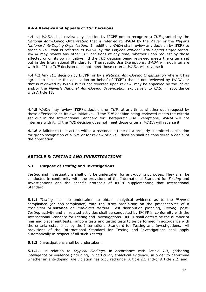# **4.4.4 Reviews and Appeals of** *TUE* **Decisions**

4.4.4.1 *WADA* shall review any decision by **IFCPF** not to recognize a *TUE* granted by the *National Anti-Doping Organization* that is referred *to WADA* by the *Player* or the *Player's National Anti-Doping Organization.* In addition, *WADA* shall review any decision by **IFCPF** to grant a *TUE* that is referred *to WADA* by the *Player's National Anti-Doping Organization*. *WADA* may review any other *TUE* decisions at any time, whether upon request by those affected or on its own initiative. If the *TUE* decision being reviewed meets the criteria set out in the International Standard for Therapeutic Use Exemptions, *WADA* will not interfere with it. If the *TUE* decision does not meet those criteria, *WADA* will reverse it.

4.4.4.2 Any *TUE* decision by **IFCPF** (or by a *National Anti-Doping Organization* where it has agreed to consider the application on behalf of **IFCPF**) that is not reviewed by *WADA*, or that is reviewed by *WADA* but is not reversed upon review, may be appealed by the *Player* and/or the *Player's National Anti-Doping Organization* exclusively to *CAS*, in accordance with Article 13.

**4.4.5** *WADA* may review **IFCPF**'s decisions on *TUEs* at any time, whether upon request by those affected or on its own initiative. If the *TUE* decision being reviewed meets the criteria set out in the International Standard for Therapeutic Use Exemptions, *WADA* will not interfere with it. If the *TUE* decision does not meet those criteria, *WADA* will reverse it.

**4.4.6** A failure to take action within a reasonable time on a properly submitted application for grant/recognition of a *TUE* or for review of a *TUE* decision shall be considered a denial of the application.

# **ARTICLE 5:** *TESTING AND INVESTIGATIONS*

# **5.1 Purpose of** *Testing* **and Investigations**

*Testing* and investigations shall only be undertaken for anti-doping purposes. They shall be conducted in conformity with the provisions of the International Standard for *Testing* and Investigations and the specific protocols of **IFCPF** supplementing that International Standard.

**5.1.1** *Testing* shall be undertaken to obtain analytical evidence as to the *Player*'s compliance (or non-compliance) with the strict prohibition on the presence/*Use* of a *Prohibited* **Substance** or *Prohibited Method*. Test distribution planning, *Testing*, post-*Testing* activity and all related activities shall be conducted by **IFCPF** in conformity with the International Standard for Testing and Investigations. **IFCPF** shall determine the number of finishing placement tests, random tests and target tests to be performed in accordance with the criteria established by the International Standard for Testing and Investigations. All provisions of the International Standard for Testing and Investigations shall apply automatically in respect of all such *Testing*.

**5.1.2** Investigations shall be undertaken:

**5.1.2.1** in relation to *Atypical Findings*, in accordance with Article 7.3, gathering intelligence or evidence (including, in particular, analytical evidence) in order to determine whether an anti-doping rule violation has occurred under Article 2.1 and/or Article 2.2; and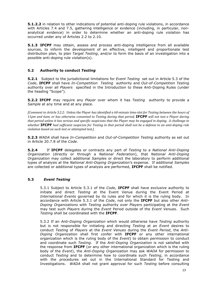**5.1.2.2** in relation to other indications of potential anti-doping rule violations, in accordance with Articles 7.4 and 7.5, gathering intelligence or evidence (including, in particular, nonanalytical evidence) in order to determine whether an anti-doping rule violation has occurred under any of Articles 2.2 to 2.10.

**5.1.3 IFCPF** may obtain, assess and process anti-doping intelligence from all available sources, to inform the development of an effective, intelligent and proportionate test distribution plan, to plan *Target Testing*, and/or to form the basis of an investigation into a possible anti-doping rule violation(s).

# **5.2 Authority to conduct** *Testing*

**5.2.1** Subject to the jurisdictional limitations for *Event Testing* set out in Article 5.3 of the *Code*, **IFCPF** shall have *In-Competition Testing* authority and *Out-of-Competition Testing*  authority over all *Players* specified in the Introduction to these Anti-Doping Rules (under the heading "Scope").

**5.2.2 IFCPF** may require any *Player* over whom it has *Testing* authority to provide a *Sample* at any time and at any place.

*[Comment to Article 5.2.2: Unless the Player has identified a 60-minute time-slot for Testing between the hours of 11pm and 6am, or has otherwise consented to Testing during that period, IFCPF will not test a Player during that period unless it has serious and specific suspicions that the Player may be engaged in doping. A challenge to whether* **IFCPF** *had sufficient suspicion for Testing in that period shall not be a defense to an anti-doping rule violation based on such test or attempted test.]* 

**5.2.3** *WADA* shall have *In-Competition* and *Out-of-Competition Testing* authority as set out in Article 20.7.8 of the *Code*.

**5.2.4** If **IFCPF** delegates or contracts any part of *Testing* to a *National Anti-Doping Organization* (directly or through a *National Federation*), that *National Anti-Doping Organization* may collect additional *Samples* or direct the laboratory to perform additional types of analysis at the *National Anti-Doping Organization*'s expense. If additional *Samples*  are collected or additional types of analysis are performed, **IFCPF** shall be notified.

# **5.3** *Event Testing*

5.3.1 Subject to Article 5.3.1 of the *Code*, **IFCPF** shall have exclusive authority to initiate and direct *Testing* at the Event Venue during the Event Period at *International Events* governed by its rules and for which it is the ruling body. In accordance with Article 5.3.1 of the *Code*, not only the **IFCPF** but also other *Anti-Doping Organizations* with *Testing* authority over *Players* participating at the *Event* may test such *Players* during the *Event* Period outside of the *Event Venue*s. Such *Testing* shall be coordinated with the **IFCPF**.

5.3.2 If an *Anti-Doping Organization* which would otherwise have *Testing* authority but is not responsible for initiating and directing *Testing* at an *Event* desires to conduct *Testing* of *Players* at the *Event Venues* during the *Event Period*, the *Anti-Doping Organization* shall first confer with **IFCPF** or any other international organization which is the ruling body of the *Event*) to obtain permission to conduct and coordinate such *Testing*. If the *Anti-Doping Organization* is not satisfied with the response from **IFCPF** (or any other international organization which is the ruling body of the *Event*), the *Anti-Doping Organization* may ask *WADA* for permission to conduct *Testing* and to determine how to coordinate such *Testing*, in accordance with the procedures set out in the International Standard for Testing and Investigations. *WADA* shall not grant approval for such *Testing* before consulting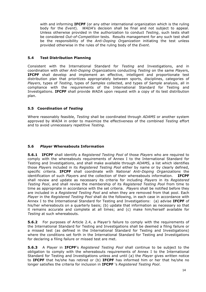with and informing **IFCPF** (or any other international organization which is the ruling body for the *Event*). *WADA*'s decision shall be final and not subject to appeal. Unless otherwise provided in the authorization to conduct *Testing*, such tests shall be considered *Out-of-Competition* tests*.* Results management for any such test shall be the responsibility of the *Anti-Doping Organization* initiating the test unless provided otherwise in the rules of the ruling body of the *Event*.

# **5.4 Test Distribution Planning**

Consistent with the International Standard for *Testing* and Investigations, and in coordination with other *Anti-Doping Organization*s conducting *Testing* on the same *Player*s, **IFCPF** shall develop and implement an effective, intelligent and proportionate test distribution plan that prioritizes appropriately between sports, disciplines, categories of *Players*, types of *Testing*, types of *Samples* collected, and types of *Sample* analysis, all in compliance with the requirements of the International Standard for Testing and Investigations. **IFCPF** shall provide *WADA* upon request with a copy of its test distribution plan.

# **5.5 Coordination of** *Testing*

Where reasonably feasible, *Testing* shall be coordinated through *ADAMS* or another system approved by *WADA* in order to maximize the effectiveness of the combined *Testing* effort and to avoid unnecessary repetitive *Testing.*

#### **5.6** *Player* **Whereabouts Information**

**5.6.1 IFCPF** shall identify a *Registered Testing Pool* of those *Players* who are required to comply with the whereabouts requirements of Annex I to the International Standard for Testing and Investigations, and shall make available through *ADAMS,* a list which identifies those *Player*s included in its *Registered Testing Pool* either by name or by clearly defined, specific criteria. **IFCPF** shall coordinate with *National Anti-Doping Organizations* the identification of such *Player*s and the collection of their whereabouts information. **IFCPF** shall review and update as necessary its criteria for including *Players* in its *Registered Testing Pool*, and shall revise the membership of its *Registered Testing Pool* from time to time as appropriate in accordance with the set criteria. *Players* shall be notified before they are included in a *Registered Testing Pool* and when they are removed from that pool. Each *Player* in the *Registered Testing Pool* shall do the following, in each case in accordance with Annex I to the International Standard for Testing and Investigations: (a) advise **IFCPF** of his/her whereabouts on a quarterly basis; (b) update that information as necessary so that it remains accurate and complete at all times; and (c) make him/herself available for *Testing* at such whereabouts.

**5.6.2** For purposes of Article 2.4, a Player*'s* failure to comply with the requirements of the International Standard for Testing and Investigations shall be deemed a filing failure or a missed test (as defined in the International Standard for Testing and Investigations) where the conditions set forth in the International Standard for Testing and Investigations for declaring a filing failure or missed test are met.

**5.6.3** A Player in **IFCPF**'s *Registered Testing Pool* shall continue to be subject to the obligation to comply with the whereabouts requirements of Annex I to the International Standard for Testing and Investigations unless and until (a) the *Player* gives written notice to **IFCPF** that he/she has retired or (b) **IFCPF** has informed him or her that he/she no longer satisfies the criteria for inclusion in **IFCPF** 's *Registered Testing Pool*.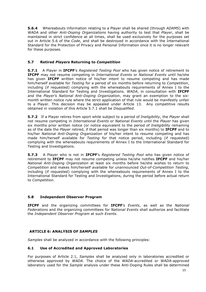**5.6.4** Whereabouts information relating to a Player shall be shared (through *ADAMS*) with *WADA* and other *Anti-Doping Organizations* having authority to test that *Player*, shall be maintained in strict confidence at all times, shall be used exclusively for the purposes set out in Article 5.6 of the *Code*, and shall be destroyed in accordance with the International Standard for the Protection of Privacy and Personal Information once it is no longer relevant for these purposes.

# **5.7 Retired** *Players* **Returning to** *Competition*

**5.7.1** A Player in **IFCPF**'s *Registered Testing Pool* who has given notice of retirement to **IFCPF** may not resume competing in *International Events* or *National Events* until he/she has given **IFCPF** written notice of his/her intent to resume competing and has made him/herself available for *Testing* for a period of six months before returning to *Competition*, including (if requested) complying with the whereabouts requirements of Annex I to the International Standard for Testing and Investigations. *WADA*, in consultation with **IFCPF** and the *Player's National Anti-Doping Organization*, may grant an exemption to the sixmonth written notice rule where the strict application of that rule would be manifestly unfair to a Player. This decision may be appealed under Article 13. Any competitive results obtained in violation of this Article 5.7.1 shall be *Disqualified*.

**5.7.2** If a Player retires from sport while subject to a period of *Ineligibility*, the *Player* shall not resume competing in *International Events* or *National Events* until the *Player* has given six months prior written notice (or notice equivalent to the period of *Ineligibility* remaining as of the date the *Player* retired, if that period was longer than six months) to **IFCPF** and to his/her *National Anti-Doping Organization* of his/her intent to resume competing and has made him/herself available for *Testing* for that notice period, including (if requested) complying with the whereabouts requirements of Annex I to the International Standard for Testing and Investigations.

**5.7.3** A Player who is not in **IFCPF**'s *Registered Testing Pool* who has given notice of retirement to **IFCPF** may not resume competing unless he/she notifies **IFCPF** and his/her *National Anti-Doping Organization* at least six months before he/she wishes to return to *Competition* and makes him/herself available for unannounced *Out-of-Competition Testing*, including (if requested) complying with the whereabouts requirements of Annex I to the International Standard for Testing and Investigations, during the period before actual return to *Competition*.

# **5.8 Independent Observer Program**

**IFCPF** and the organizing committees for **IFCPF**'s *Events*, as well as the *National Federations* and the organizing committees for *National Events* shall authorize and facilitate the *Independent Observer Program* at such *Events*.

# **ARTICLE 6: ANALYSIS OF** *SAMPLES*

*Samples* shall be analyzed in accordance with the following principles:

#### **6.1 Use of Accredited and Approved Laboratories**

For purposes of Article 2.1, *Samples* shall be analyzed only in laboratories accredited or otherwise approved by *WADA*. The choice of the *WADA*-accredited or *WADA*-approved laboratory used for the *Sample* analysis under these Anti-Doping Rules shall be determined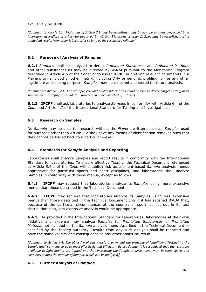#### exclusively by **IFCPF**.

*[Comment to Article 6.1: Violations of Article 2.1 may be established only by Sample analysis performed by a laboratory accredited or otherwise approved by WADA. Violations of other Articles may be established using* analytical results from other laboratories so long as the results are reliable.]

# **6.2 Purpose of Analysis of Samples**

**6.2.1** *Samples* shall be analyzed to detect *Prohibited Substances* and *Prohibited Methods* and other substances as may be directed by *WADA* pursuant to the Monitoring Program described in Article 4.5 of the *Code*; or to assist **IFCPF** in profiling relevant parameters in a Player's urine, blood or other matrix, including DNA or genomic profiling; or for any other legitimate anti-doping purpose. *Samples* may be collected and stored for future analysis.

*[Comment to Article 6.2.1: For example, relevant profile information could be used to direct Target Testing or to support an anti-doping rule violation proceeding under Article 2.2, or both.]* 

**6.2.2 IFCPF** shall ask laboratories to analyze *Samples* in conformity with Article 6.4 of the *Code* and Article 4.7 of the International Standard for Testing and Investigations.

# **6.3 Research on Samples**

No *Sample* may be used for research without the *Player*'s written consent. *Samples* used for purposes other than Article 6.2 shall have any means of identification removed such that they cannot be traced back to a particular *Player*.

# **6.4 Standards for** *Sample* **Analysis and Reporting**

Laboratories shall analyze Samples and report results in conformity with the International Standard for Laboratories. To ensure effective *Testing,* the Technical Document referenced at Article 5.4.1 of the *Code* will establish risk assessment-based *Sample* analysis menus appropriate for particular sports and sport disciplines, and laboratories shall analyze Samples in conformity with those menus, except as follows:

**6.4.1 IFCPF** may request that laboratories analyze its *Samples* using more extensive menus than those described in the Technical Document.

**6.4.2 IFCPF** may request that laboratories analyze its *Samples* using less extensive menus than those described in the Technical Document only if it has satisfied *WADA* that, because of the particular circumstances of the country or sport, as set out in its test distribution plan, less extensive analysis would be appropriate.

**6.4.3** As provided in the International Standard for Laboratories, laboratories at their own initiative and expense may analyze *Samples* for *Prohibited Substances* or *Prohibited Methods* not included on the *Sample* analysis menu described in the Technical Document or specified by the *Testing* authority. Results from any such analysis shall be reported and have the same validity and consequence as any other analytical result.

*[Comment to Article 6.4: The objective of this Article is to extend the principle of "intelligent Testing" to the* Sample analysis menu so as to most effectively and efficiently detect doping. It is recognized that the resources *available to fight doping are limited and that increasing the Sample analysis menu may, in some sports and countries, reduce the number of Samples which can be analyzed.]* 

# **6.5 Further Analysis of** *Samples*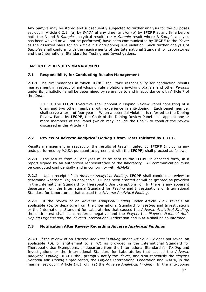Any *Sample* may be stored and subsequently subjected to further analysis for the purposes set out in Article 6.2.1: (a) by *WADA* at any time; and/or (b) by **IFCPF** at any time before both the A and B *Sample* analytical results (or A *Sample* result where B *Sample* analysis has been waived or will not be performed) have been communicated by **IFCPF** to the *Player* as the asserted basis for an Article 2.1 anti-doping rule violation. Such further analysis of *Samples* shall conform with the requirements of the International Standard for Laboratories and the International Standard for Testing and Investigations.

# **ARTICLE 7: RESULTS MANAGEMENT**

# **7.1 Responsibility for Conducting Results Management**

**7.1.1** The circumstances in which **IFCPF** shall take responsibility for conducting results management in respect of anti-doping rule violations involving *Players* and other *Persons*  under its jurisdiction shall be determined by reference to and in accordance with Article 7 of the *Code*.

7.1.1.1 The **IFCPF** Executive shall appoint a Doping Review Panel consisting of a Chair and two other members with experience in anti-doping. Each panel member shall serve a term of four years. When a potential violation is referred to the Doping Review Panel by **IFCPF**, the Chair of the Doping Review Panel shall appoint one or more members of the Panel (which may include the Chair) to conduct the review discussed in this Article 7.]

# **7.2 Review of** *Adverse Analytical Finding* **s from Tests Initiated by IFCPF.**

Results management in respect of the results of tests initiated by **IFCPF** (including any tests performed by *WADA* pursuant to agreement with the **IFCPF**) shall proceed as follows:

**7.2.1** The results from all analyses must be sent to the **IFCPF** in encoded form, in a report signed by an authorized representative of the laboratory. All communication must be conducted confidentially and in conformity with *ADAMS*.

**7.2.2** Upon receipt of an *Adverse Analytical Finding*, **IFCPF** shall conduct a review to determine whether: (a) an applicable TUE has been granted or will be granted as provided in the International Standard for Therapeutic Use Exemptions, or (b) there is any apparent departure from the International Standard for *Testing* and Investigations or International Standard for Laboratories that caused the *Adverse Analytical Finding*.

**7.2.3** If the review of an *Adverse Analytical Finding* under Article 7.2.2 reveals an applicable *TUE* or departure from the International Standard for *Testing* and Investigations or the International Standard for Laboratories that caused the *Adverse Analytical Finding*, the entire test shall be considered negative and the *Player*, the *Player*'s *National Anti-Doping Organization*, the *Player*'s International Federation and *WADA* shall be so informed.

# **7.3 Notification After Review Regarding** *Adverse Analytical Findings*

**7.3.1** If the review of an *Adverse Analytical Finding* under Article 7.2.2 does not reveal an applicable *TUE* or entitlement to a *TUE* as provided in the International Standard for Therapeutic Use Exemptions, or departure from the International Standard for *Testing* and Investigations or the International Standard for Laboratories that caused the *Adverse Analytical Finding*, **IFCPF** shall promptly notify the *Player*, and simultaneously the *Player*'s *National Anti-Doping Organization*, the *Player*'s International Federation and *WADA*, in the manner set out in Article 14.1, of: (a) the *Adverse Analytical Finding*; (b) the anti-doping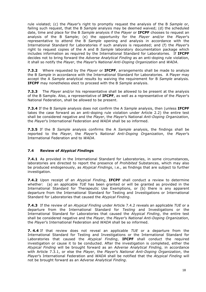rule violated; (c) the *Player*'s right to promptly request the analysis of the B *Sample* or, failing such request, that the B *Sample* analysis may be deemed waived; (d) the scheduled date, time and place for the B *Sample* analysis if the *Player* or **IFCPF** chooses to request an analysis of the B Sample; (e) the opportunity for the *Player* and/or the *Player*'s representative to attend the B *Sample* opening and analysis in accordance with the International Standard for Laboratories if such analysis is requested; and (f) the *Player*'s right to request copies of the A and B *Sample* laboratory documentation package which includes information as required by the International Standard for Laboratories. If **IFCPF** decides not to bring forward the *Adverse Analytical Finding* as an anti-doping rule violation, it shall so notify the *Player*, the *Player*'s *National Anti-Doping Organization* and *WADA*.

**7.3.2** Where requested by the *Player* or **IFCPF**, arrangements shall be made to analyze the B *Sample* in accordance with the International Standard for Laboratories. A Player may accept the A *Sample* analytical results by waiving the requirement for B *Sample* analysis. **IFCPF** may nonetheless elect to proceed with the B *Sample* analysis.

**7.3.3** The *Player* and/or his representative shall be allowed to be present at the analysis of the B Sample. Also, a representative of **IFCPF**, as well as a representative of the *Player*'s National Federation, shall be allowed to be present.

**7.3.4** If the B *Sample* analysis does not confirm the A *Sample* analysis, then (unless **IFCPF** takes the case forward as an anti-doping rule violation under Article 2.2) the entire test shall be considered negative and the *Player*, the *Player*'s National *Anti-Doping Organization*, the *Player*'s International Federation and *WADA* shall be so informed.

**7.3.5** If the B *Sample* analysis confirms the A *Sample* analysis, the findings shall be reported to the *Player*, the *Player*'s *National Anti-Doping Organization*, the *Player*'s International Federation and to *WADA*.

# **7.4 Review of** *Atypical Finding***s**

**7.4.1** As provided in the International Standard for Laboratories, in some circumstances, laboratories are directed to report the presence of *Prohibited* Substances, which may also be produced endogenously, as *Atypical Findings*, i.e., as findings that are subject to further investigation.

**7.4.2** Upon receipt of an *Atypical Finding*, **IFCPF** shall conduct a review to determine whether: (a) an applicable *TUE* has been granted or will be granted as provided in the International Standard for Therapeutic Use Exemptions, or (b) there is any apparent departure from the International Standard for Testing and Investigations or International Standard for Laboratories that caused the *Atypical Finding*.

**7.4.3** If the review of an *Atypical Finding* under Article 7.4.2 reveals an applicable *TUE* or a departure from the International Standard for *Testing* and Investigations or the International Standard for Laboratories that caused the *Atypical Finding*, the entire test shall be considered negative and the *Player*, the *Player*'s *National Anti-Doping Organization*, the *Player*'s International Federation and *WADA* shall be so informed.

**7. 4.4** If that review does not reveal an applicable *TUE* or a departure from the International Standard for Testing and Investigations or the International Standard for Laboratories that caused the *Atypical Finding*, **IFCPF** shall conduct the required investigation or cause it to be conducted. After the investigation is completed, either the *Atypical Finding* will be brought forward as an *Adverse Analytical Finding,* in accordance with Article 7.3.1, or else the *Player*, the *Player*'s *National Anti-Doping Organization*, the *Player*'s International Federation and *WADA* shall be notified that the *Atypical Finding* will not be brought forward as an *Adverse Analytical Finding*.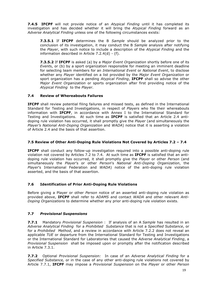**7.4.5 IFCPF** will not provide notice of an *Atypical Finding* until it has completed its investigation and has decided whether it will bring the *Atypical Finding* forward as an *Adverse Analytical Finding* unless one of the following circumstances exists:

**7.3.5.1** If **IFCPF** determines the B *Sample* should be analyzed prior to the conclusion of its investigation, it may conduct the B *Sample* analysis after notifying the *Player*, with such notice to include a description of the *Atypical Finding* and the information described in Article 7.2.4(d) - (f).

**7.3.5.2** If **IFCPF** is asked (a) by a *Major Event Organization* shortly before one of its *Event*s, or (b) by a sport organization responsible for meeting an imminent deadline for selecting team members for an *International Event* or *National Event*, to disclose whether any *Player* identified on a list provided by the *Major Event Organization* or sport organization has a pending *Atypical Finding*, **IFCPF** shall so advise the other *Major Event Organization* or sports organization after first providing notice of the *Atypical Finding* to the *Player*.

# **7.4 Review of Whereabouts Failures**

**IFCPF** shall review potential filing failures and missed tests, as defined in the International Standard for Testing and Investigations, in respect of *Players* who file their whereabouts information with **IFCPF**, in accordance with Annex I to the International Standard for Testing and Investigations. At such time as **IFCPF** is satisfied that an Article 2.4 antidoping rule violation has occurred, it shall promptly give the *Player* (and simultaneously the *Player's National Anti-Doping Organization* and *WADA*) notice that it is asserting a violation of Article 2.4 and the basis of that assertion.

# **7.5 Review of Other Anti-Doping Rule Violations Not Covered by Articles 7.2 – 7.4**

**IFCPF** shall conduct any follow-up investigation required into a possible anti-doping rule violation not covered by Articles 7.2 to 7.4. At such time as **IFCPF** is satisfied that an antidoping rule violation has occurred, it shall promptly give the *Player* or other *Person* (and simultaneously the *Player*'s or other *Person*'s *National Anti-Doping Organization*, the *Player*'s International Federation and *WADA*) notice of the anti-doping rule violation asserted, and the basis of that assertion.

# **7.6 Identification of Prior Anti-Doping Rule Violations**

Before giving a Player or other *Person* notice of an asserted anti-doping rule violation as provided above, **IFCPF** shall refer to *ADAMS* and contact *WADA* and other relevant *Anti-Doping Organizations* to determine whether any prior anti-doping rule violation exists.

# **7.7** *Provisional Suspensions*

**7.7.1** Mandatory *Provisional Suspension* : If analysis of an A *Sample* has resulted in an *Adverse Analytical Finding* for a *Prohibited Substance* that is not a *Specified Substance*, or for a *Prohibited Method*, and a review in accordance with Article 7.2.2 does not reveal an applicable *TUE* or departure from the International Standard for Testing and Investigations or the International Standard for Laboratories that caused the *Adverse Analytical Finding*, a *Provisional Suspension* shall be imposed upon or promptly after the notification described in Article  $7.3.1.$ 

**7.7.2** Optional *Provisional Suspension:* In case of an *Adverse Analytical Finding* for a *Specified Substance,* or in the case of any other anti-doping rule violations not covered by Article 7.7.1, **IFCPF** may impose a *Provisional Suspension* on the *Player* or other *Person*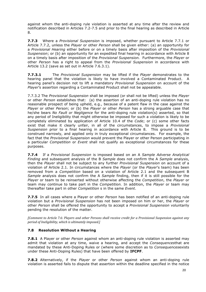against whom the anti-doping rule violation is asserted at any time after the review and notification described in Articles 7.2-7.5 and prior to the final hearing as described in Article 8.

**7.7.3** Where a *Provisional Suspension* is imposed, whether pursuant to Article 7.7.1 or Article 7.7.2, unless the *Player* or other *Person* shall be given either: (a) an opportunity for a *Provisional Hearing* either before or on a timely basis after imposition of the *Provisional Suspension*; or (b) an opportunity for an expedited final hearing in accordance with Article 8 on a timely basis after imposition of the *Provisional Suspension.* Furthermore, the *Player* or other *Person* has a right to appeal from the *Provisional Suspension* in accordance with Article 13.2 (save as set out in Article 7.6.3.1).

**7.7.3.1** The *Provisional Suspension* may be lifted if the *Player* demonstrates to the hearing panel that the violation is likely to have involved a Contaminated Product. A hearing panel's decision not to lift a mandatory *Provisional Suspension* on account of the *Player*'s assertion regarding a Contaminated Product shall not be appealable.

7.7.3.2 The *Provisional Suspension* shall be imposed (or shall not be lifted) unless the *Player* or other *Person* establishes that: (a) the assertion of an anti-doping rule violation has no reasonable prospect of being upheld, e.g., because of a patent flaw in the case against the *Player* or other *Person*; or (b) the *Player* or other *Person* has a strong arguable case that he/she bears *No Fault or Negligence* for the anti-doping rule violation(s) asserted, so that any period of Ineligibility that might otherwise be imposed for such a violation is likely to be completely eliminated by application of Article 10.4 of the *Code*; or (c) some other facts exist that make it clearly unfair, in all of the circumstances, to impose a *Provisional Suspension* prior to a final hearing in accordance with Article 8. This ground is to be construed narrowly, and applied only in truly exceptional circumstances. For example, the fact that the *Provisional Suspension* would prevent the Player or other Person participating in a particular *Competition* or *Event* shall not qualify as exceptional circumstances for these purposes.

**7.7.4** If a *Provisional Suspension* is imposed based on an A *Sample Adverse Analytical Finding* and subsequent analysis of the B *Sample* does not confirm the A *Sample* analysis, then the *Player* shall not be subject to any further *Provisional Suspension* on account of a violation of Article 2.1. In circumstances where the *Player* (or the *Player*'s team) has been removed from a *Competition* based on a violation of Article 2.1 and the subsequent B *Sample* analysis does not confirm the A *Sample* finding, then if it is still possible for the *Player* or team to be reinserted without otherwise affecting the *Competition*, the *Player* or team may continue to take part in the *Competition.* In addition, the *Player* or team may thereafter take part in other *Competition* s in the same *Event*.

**7.7.5** In all cases where a Player or other *Person* has been notified of an anti-doping rule violation but a *Provisional Suspension* has not been imposed on him or her, the *Player* or other *Person* shall be offered the opportunity to accept a *Provisional Suspension* voluntarily pending the resolution of the matter.

*[Comment to Article 7.6: Players and other Persons shall receive credit for a Provisional Suspension against any period of Ineligibility, which is ultimately imposed.]* 

# **7.8 Resolution Without a Hearing**

**7.8.1** A Player or other *Person* against whom an anti-doping rule violation is asserted may admit that violation at any time, waive a hearing, and accept the *Consequences*that are mandated by these Anti-Doping Rules or (where some discretion as to *Consequences*exists under these Anti-Doping Rules) that have been offered by **IFCPF**.

**7.8.2** Alternatively, if the *Player* or other *Person* against whom an anti-doping rule violation is asserted fails to dispute that assertion within the deadline specified in the notice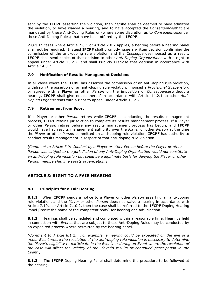sent by the **IFCPF** asserting the violation, then he/she shall be deemed to have admitted the violation, to have waived a hearing, and to have accepted the *Consequences*that are mandated by these Anti-Doping Rules or (where some discretion as to *Consequences*under these Anti-Doping Rules) that have been offered by the **IFCPF**.

**7.8.3** In cases where Article 7.8.1 or Article 7.8.2 applies, a hearing before a hearing panel shall not be required. Instead **IFCPF** shall promptly issue a written decision confirming the commission of the anti-doping rule violation and the *Consequences*imposed as a result. **IFCPF** shall send copies of that decision to other *Anti-Doping Organization*s with a right to appeal under Article 13.2.2, and shall Publicly Disclose that decision in accordance with Article 14.3.2.

# **7.9 Notification of Results Management Decisions**

In all cases where the **IFCPF** has asserted the commission of an anti-doping rule violation, withdrawn the assertion of an anti-doping rule violation, imposed a *Provisional Suspension,* or agreed with a Player or other *Person* on the imposition of *Consequences*without a hearing, **IFCPF** shall give notice thereof in accordance with Article 14.2.1 to other *Anti-Doping Organization*s with a right to appeal under Article 13.2.2.

# **7.9 Retirement from Sport**

If a Player or other *Person* retires while **IFCPF** is conducting the results management process, **IFCPF** retains jurisdiction to complete its results management process. If a Player or other *Person* retires before any results management process has begun, and **IFCPF** would have had results management authority over the *Player* or other *Person* at the time the *Player* or other *Person* committed an anti-doping rule violation, **IFCPF** has authority to conduct results management in respect of that anti-doping rule violation.

*[Comment to Article 7.9: Conduct by a Player or other Person before the Player or other Person was subject to the jurisdiction of any Anti-Doping Organization would not constitute an anti-doping rule violation but could be a legitimate basis for denying the Player or other Person membership in a sports organization.]*

# **ARTICLE 8: RIGHT TO A FAIR HEARING**

# **8.1 Principles for a Fair Hearing**

**8.1.1** When **IFCPF** sends a notice to a Player or other *Person* asserting an anti-doping rule violation, and the *Player* or other *Person* does not waive a hearing in accordance with Article 7.10.1 or Article 7.10.2, then the case shall be referred to the **IFCPF** Doping Hearing Panel [insert the name of the competent body] for hearing and adjudication.

**8.1.2** Hearings shall be scheduled and completed within a reasonable time. Hearings held in connection with *Event*s that are subject to these Anti-Doping Rules may be conducted by an expedited process where permitted by the hearing panel.

*[Comment to Article 8.1.2: For example, a hearing could be expedited on the eve of a major Event where the resolution of the anti-doping rule violation is necessary to determine the Player*'s *eligibility to participate in the Event, or during an Event where the resolution of the case will affect the validity of the Player*'s *results or continued participation in the Event.]*

**8.1.3** The **IFCPF** Doping Hearing Panel shall determine the procedure to be followed at the hearing.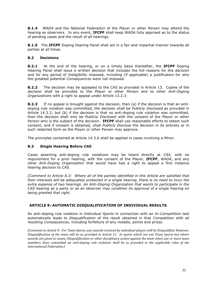**8.1.4** *WADA* and the *National Federation* of the *Player* or other *Person* may attend the hearing as observers. In any event, **IFCPF** shall keep WADA fully apprised as to the status of pending cases and the result of all hearings.

**8.1.5** The **IFCPF** Doping Hearing Panel shall act in a fair and impartial manner towards all parties at all times.

## **8.2 Decisions**

**8.2.1** At the end of the hearing, or on a timely basis thereafter, the **IFCPF** Doping Hearing Panel shall issue a written decision that includes the full reasons for the decision and for any period of *Ineligibility* imposed, including (if applicable) a justification for why the greatest potential *Consequences* were not imposed.

**8.2.2** The decision may be appealed to the *CAS* as provided in Article 13. Copies of the decision shall be provided to the *Player* or other *Person* and to other *Anti-Doping Organizations* with a right to appeal under Article 13.2.3.

**8.2.3** If no appeal is brought against the decision, then (a) if the decision is that an antidoping rule violation was committed, the decision shall be *Publicly Disclosed* as provided in Article 14.3.2; but (b) if the decision is that no anti-doping rule violation was committed, then the decision shall only be *Publicly Disclosed* with the consent of the *Player* or other *Person* who is the subject of the decision. **IFCPF** shall use reasonable efforts to obtain such consent, and if consent is obtained, shall *Publicly Disclose* the decision in its entirety or in such redacted form as the Player or other Person may approve.

The principles contained at Article 14.3.6 shall be applied in cases involving a *Minor*.

# **8.3 Single Hearing Before** *CAS*

Cases asserting anti-doping rule violations may be heard directly at *CAS*, with no requirement for a prior hearing, with the consent of the *Player*, **IFCPF**, *WADA*, and any other *Anti-Doping Organization* that would have had a right to appeal a first instance hearing decision to *CAS*.

*[Comment to Article 8.3: Where all of the parties identified in this Article are satisfied that their interests will be adequately protected in a single hearing, there is no need to incur the extra expense of two hearings. An Anti-Doping Organization that wants to participate in the CAS hearing as a party or as an observer may condition its approval of a single hearing on being granted that right.*

# **ARTICLE 9: AUTOMATIC** *DISQUALIFICATION* **OF INDIVIDUAL RESULTS**

An anti-doping rule violation in *Individual Sports* in connection with an *In-Competition* test automatically leads to *Disqualification* of the result obtained in that *Competition* with all resulting *Consequences*, including forfeiture of any medals, points and prizes.

*[Comment to Article 9: For Team Sports, any awards received by individual players will be Disqualified. However, Disqualification of the team will be as provided in Article 11. In sports which are not Team Sports but where awards are given to teams, Disqualification or other disciplinary action against the team when one or more team* members have committed an anti-doping rule violation shall be as provided in the applicable rules of the **International Federation.]**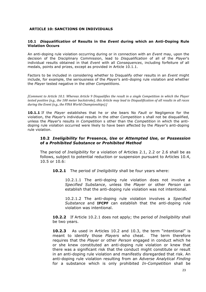## **ARTICLE 10: SANCTIONS ON INDIVIDUALS**

#### **10.1** *Disqualification* **of Results in the** *Event* **during which an Anti-Doping Rule Violation Occurs**

An anti-doping rule violation occurring during or in connection with an *Event* may, upon the decision of the Disciplinary Commission, lead to *Disqualification* of all of the *Player*'s individual results obtained in that *Event* with all *Consequences*, including forfeiture of all medals, points and prizes, except as provided in Article 10.1.1.

Factors to be included in considering whether to Disqualify other results in an *Event* might include, for example, the seriousness of the *Player*'s anti-doping rule violation and whether the *Player* tested negative in the other *Competitions*.

*[Comment to Article 10.1: Whereas Article 9 Disqualifies the result in a single Competition in which the Player* tested positive (e.g., the 100 meter backstroke), this Article may lead to Disqualification of all results in all races *during the Event (e.g., the FINA World Championships).]* 

**10.1.1** If the *Player* establishes that he or she bears No *Fault* or Negligence for the violation, the *Player*'s individual results in the other *Competition* s shall not be disqualified, unless the *Player*'s results in *Competition* s other than the *Competition* in which the antidoping rule violation occurred were likely to have been affected by the *Player*'s anti-doping rule violation.

# **10.2** *Ineligibility* **for Presence,** *Use* **or** *Attempted Use***, or** *Possession*  **of a** *Prohibited Substance* **or** *Prohibited Method*

The period of *Ineligibility* for a violation of Articles 2.1, 2.2 or 2.6 shall be as follows, subject to potential reduction or suspension pursuant to Articles 10.4, 10.5 or 10.6:

**10.2.1** The period of *Ineligibility* shall be four years where:

10.2.1.1 The anti-doping rule violation does not involve a *Specified Substance*, unless the *Player* or other *Person* can establish that the anti-doping rule violation was not intentional.

10.2.1.2 The anti-doping rule violation involves a *Specified Substance* and **IFCPF** can establish that the anti-doping rule violation was intentional.

**10.2.2** If Article 10.2.1 does not apply; the period of *Ineligibility* shall be two years.

**10.2.3** As used in Articles 10.2 and 10.3, the term "intentional" is meant to identify those *Players* who cheat. The term therefore requires that the *Player* or other *Person* engaged in conduct which he or she knew constituted an anti-doping rule violation or knew that there was a significant risk that the conduct might constitute or result in an anti-doping rule violation and manifestly disregarded that risk. An anti-doping rule violation resulting from an *Adverse Analytical Finding* for a substance which is only prohibited *In-Competition* shall be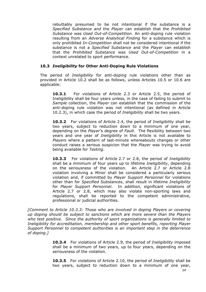rebuttably presumed to be not intentional if the substance is a *Specified Substance and* the *Player* can establish that the *Prohibited Substance* was *Used Out-of-Competition*. An anti-doping rule violation resulting from an *Adverse Analytical Finding* for a substance which is only prohibited *In-Competition* shall not be considered intentional if the substance is not a *Specified Substance* and the *Player* can establish that the *Prohibited Substance* was *Used Out-of-Competition* in a context unrelated to sport performance.

# **10.3** *Ineligibility* **for Other Anti-Doping Rule Violations**

The period of *Ineligibility* for anti-doping rule violations other than as provided in Article 10.2 shall be as follows, unless Articles 10.5 or 10.6 are applicable:

**10.3.1** For violations of Article 2.3 or Article 2.5, the period of Ineligibility shall be four years unless, in the case of failing to submit to *Sample* collection, the *Player* can establish that the commission of the anti-doping rule violation was not intentional (as defined in Article 10.2.3), in which case the period of *Ineligibility* shall be two years.

**10.3.2** For violations of Article 2.4, the period of *Ineligibility* shall be two years, subject to reduction down to a minimum of one year, depending on the *Player*'s degree of *Fault*. The flexibility between two years and one year of *Ineligibility* in this Article is not available to *Players* where a pattern of last-minute whereabouts changes or other conduct raises a serious suspicion that the *Player* was trying to avoid being available for *Testing*.

**10.3.3** For violations of Article 2.7 or 2.8, the period of *Ineligibility* shall be a minimum of four years up to lifetime *Ineligibility*, depending on the seriousness of the violation. An Article 2.7 or Article 2.8 violation involving a *Minor* shall be considered a particularly serious violation and, if committed by *Player Support Personnel* for violations other than for *Specified Substances*, shall result in lifetime *Ineligibility* for *Player Support Personnel*. In addition, significant violations of Article 2.7 or 2.8, which may also violate non-sporting laws and regulations, shall be reported to the competent administrative, professional or judicial authorities.

*[Comment to Article 10.3.3: Those who are involved in doping Players or covering up doping should be subject to sanctions which are more severe than the Players who test positive. Since the authority of sport organizations is generally limited to Ineligibility for accreditation, membership and other sport benefits, reporting Player Support Personnel to competent authorities is an important step in the deterrence of doping.]*

> **10.3.4** For violations of Article 2.9, the period of *Ineligibility* imposed shall be a minimum of two years, up to four years, depending on the seriousness of the violation.

> **10.3.5** For violations of Article 2.10, the period of *Ineligibility* shall be two years, subject to reduction down to a minimum of one year,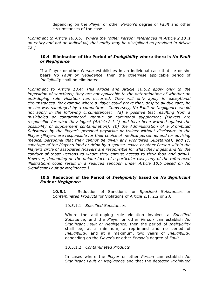depending on the *Player* or other *Person*'s degree of *Fault* and other circumstances of the case.

*[Comment to Article 10.3.5: Where the "other Person" referenced in Article 2.10 is an entity and not an individual, that entity may be disciplined as provided in Article 12.]*

# **10.4 Elimination of the Period of** *Ineligibility* **where there is** *No Fault or Negligence*

If a Player or other *Person* establishes in an individual case that he or she bears *No Fault or Negligence*, then the otherwise applicable period of *Ineligibility* shall be eliminated.

*[Comment to Article 10.4: This Article and Article 10.5.2 apply only to the imposition of sanctions; they are not applicable to the determination of whether an anti-doping rule violation has occurred. They will only apply in exceptional circumstances, for example where a Player could prove that, despite all due care, he or she was sabotaged by a competitor. Conversely, No Fault or Negligence would not apply in the following circumstances: (a) a positive test resulting from a mislabeled or contaminated vitamin or nutritional supplement (Players are responsible for what they ingest (Article 2.1.1) and have been warned against the possibility of supplement contamination); (b) the Administration of a Prohibited Substance by the Player's personal physician or trainer without disclosure to the Player (Players are responsible for their choice of medical personnel and for advising medical personnel that they cannot be given any Prohibited Substance); and (c) sabotage of the Player's food or drink by a spouse, coach or other Person within the Player's circle of associates (Players are responsible for what they ingest and for the conduct of those Persons to whom they entrust access to their food and drink). However, depending on the unique facts of a particular case, any of the referenced illustrations could result in a reduced sanction under Article 10.5 based on No Significant Fault or Negligence.]*

# **10.5 Reduction of the Period of** *Ineligibility* **based on** *No Significant Fault or Negligence*

**10.5.1** Reduction of Sanctions for *Specified Substances* or *Contaminated Products* for Violations of Article 2.1, 2.2 or 2.6.

10.5.1.1 *Specified Substances*

Where the anti-doping rule violation involves a *Specified Substance*, and the *Player* or other *Person* can establish *No Significant Fault or Negligence*, then the period of *Ineligibility* shall be, at a minimum, a reprimand and no period of *Ineligibility*, and at a maximum, two years of *Ineligibility*, depending on the *Player*'s or other *Person*'s degree of *Fault*.

# 10.5.1.2 *Contaminated Products*

In cases where the *Player* or other *Person* can establish *No Significant Fault or Negligence* and that the detected *Prohibited*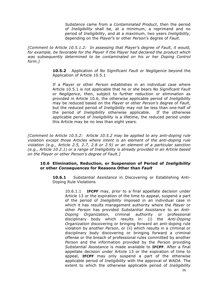*Substance* came from a *Contaminated Product*, then the period of *Ineligibility* shall be, at a minimum, a reprimand and no period of *Ineligibility*, and at a maximum, two years *Ineligibility*, depending on the *Player*'s or other *Person*'s degree of *Fault*.

*[Comment to Article 10.5.1.2: In assessing that Player's degree of Fault, it would, for example, be favorable for the Player if the Player had declared the product which was subsequently determined to be contaminated on his or her Doping Control form.]*

> **10.5.2** Application of *No Significant Fault or Negligence* beyond the Application of Article 10.5.1

> If a Player or other *Person* establishes in an individual case where Article 10.5.1 is not applicable that he or she bears *No Significant Fault or Negligence*, then, subject to further reduction or elimination as provided in Article 10.6, the otherwise applicable period of *Ineligibility*  may be reduced based on the *Player* or other *Person's* degree of *Fault*, but the reduced period of *Ineligibility* may not be less than one-half of the period of *Ineligibility* otherwise applicable. If the otherwise applicable period of *Ineligibility* is a lifetime, the reduced period under this Article may be no less than eight years.

*[Comment to Article 10.5.2: Article 10.5.2 may be applied to any anti-doping rule violation except those Articles where intent is an element of the anti-doping rule violation (e.g., Article 2.5, 2.7, 2.8 or 2.9) or an element of a particular sanction (e.g., Article 10.2.1) or a range of Ineligibility is already provided in an Article based on the Player or other Person's degree of Fault.]*

# **10.6 Elimination, Reduction, or Suspension of Period of** *Ineligibility*  **or other** *Consequences* **for Reasons Other than** *Fault*

**10.6.1** *Substantial Assistance* in Discovering or Establishing Anti-Doping Rule Violations

10.6.1.1 **IFCPF** may, prior to a final appellate decision under Article 13 or the expiration of the time to appeal, suspend a part of the period of *Ineligibility* imposed in an individual case in which it has results management authority where the *Player* or other *Person* has provided *Substantial Assistance* to an *Anti-Doping Organization*, criminal authority or professional disciplinary body which results in: (i) the *Anti-Doping Organization* discovering or bringing forward an anti-doping rule violation by another *Person*, or (ii) which results in a criminal or disciplinary body discovering or bringing forward a criminal offense or the breach of professional rules committed by another *Person* and the information provided by the *Person* providing *Substantial Assistance* is made available to **IFCPF**. After a final appellate decision under Article 13 or the expiration of time to appeal, **IFCPF** may only suspend a part of the otherwise applicable period of *Ineligibility* with the approval of *WADA*. The extent to which the otherwise applicable period of *Ineligibility*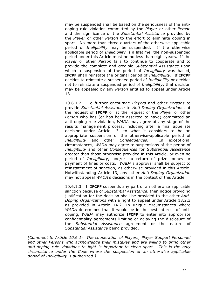may be suspended shall be based on the seriousness of the antidoping rule violation committed by the *Player* or other *Person*  and the significance of the *Substantial Assistance* provided by the *Player* or other *Person* to the effort to eliminate doping in sport. No more than three-quarters of the otherwise applicable period of *Ineligibility* may be suspended. If the otherwise applicable period of *Ineligibility* is a lifetime, the non-suspended period under this Article must be no less than eight years. If the *Player* or other *Person* fails to continue to cooperate and to provide the complete and credible *Substantial Assistance* upon which a suspension of the period of *Ineligibility* was based, **IFCPF** shall reinstate the original period of *Ineligibility*. If **IFCPF** decides to reinstate a suspended period of *Ineligibility* or decides not to reinstate a suspended period of *Ineligibility*, that decision may be appealed by any *Person* entitled to appeal under Article 13.

10.6.1.2 To further encourage *Players* and other *Persons* to provide *Substantial Assistance* to *Anti-Doping Organizations*, at the request of **IFCPF** or at the request of the *Player* or other *Person* who has (or has been asserted to have) committed an anti-doping rule violation, *WADA* may agree at any stage of the results management process, including after a final appellate decision under Article 13, to what it considers to be an appropriate suspension of the otherwise-applicable period of *Ineligibility* and other *Consequences*. In exceptional circumstances, *WADA* may agree to suspensions of the period of *Ineligibility* and other *Consequences* for *Substantial Assistance* greater than those otherwise provided in this Article, or even no period of *Ineligibility*, and/or no return of prize money or payment of fines or costs. *WADA*'s approval shall be subject to reinstatement of sanction, as otherwise provided in this Article. Notwithstanding Article 13, any other *Anti-Doping Organization*  may not appeal *WADA's* decisions in the context of this Article.

10.6.1.3 If **IFCPF** suspends any part of an otherwise applicable sanction because of *Substantial Assistance*, then notice providing justification for the decision shall be provided to the other *Anti-Doping Organizations* with a right to appeal under Article 13.2.3 as provided in Article 14.2. In unique circumstances where *WADA* determines that it would be in the best interest of antidoping, *WADA* may authorize **IFCPF** to enter into appropriate confidentiality agreements limiting or delaying the disclosure of the *Substantial Assistance* agreement or the nature of *Substantial Assistance* being provided.

*[Comment to Article 10.6.1: The cooperation of Players, Player Support Personnel and other Persons who acknowledge their mistakes and are willing to bring other anti-doping rule violations to light is important to clean sport. This is the only circumstance under the Code where the suspension of an otherwise applicable period of Ineligibility is authorized.]*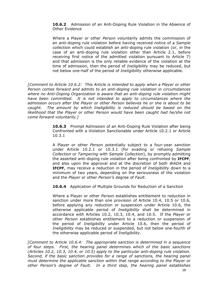**10.6.2** Admission of an Anti-Doping Rule Violation in the Absence of Other Evidence

Where a Player or other *Person* voluntarily admits the commission of an anti-doping rule violation before having received notice of a *Sample*  collection which could establish an anti-doping rule violation (or, in the case of an anti-doping rule violation other than Article 2.1, before receiving first notice of the admitted violation pursuant to Article 7) and that admission is the only reliable evidence of the violation at the time of admission, then the period of *Ineligibility* may be reduced, but not below one-half of the period of *Ineligibility* otherwise applicable.

*[Comment to Article 10.6.2: This Article is intended to apply when a Player or other Person comes forward and admits to an anti-doping rule violation in circumstances where no Anti-Doping Organization is aware that an anti-doping rule violation might have been committed. It is not intended to apply to circumstances where the admission occurs after the Player or other Person believes he or she is about to be caught. The amount by which Ineligibility is reduced should be based on the likelihood that the Player or other Person would have been caught had he/she not come forward voluntarily.]*

> **10.6.3** Prompt Admission of an Anti-Doping Rule Violation after being Confronted with a Violation Sanctionable under Article 10.2.1 or Article 10.3.1

> A Player or other *Person* potentially subject to a four-year sanction under Article 10.2.1 or 10.3.1 (for evading or refusing *Sample Collection* or *Tampering* with *Sample Collection*), by promptly admitting the asserted anti-doping rule violation after being confronted by **IFCPF**, and also upon the approval and at the discretion of both *WADA* and **IFCPF**, may receive a reduction in the period of *Ineligibility* down to a minimum of two years, depending on the seriousness of the violation and the *Player* or other *Person's* degree of *Fault*.

**10.6.4** Application of Multiple Grounds for Reduction of a Sanction

Where a Player or other *Person* establishes entitlement to reduction in sanction under more than one provision of Article 10.4, 10.5 or 10.6, before applying any reduction or suspension under Article 10.6, the otherwise applicable period of *Ineligibility* shall be determined in accordance with Articles 10.2, 10.3, 10.4, and 10.5. If the *Player* or other *Person* establishes entitlement to a reduction or suspension of the period of *Ineligibility* under Article 10.6, then the period of *Ineligibility* may be reduced or suspended, but not below one-fourth of the otherwise applicable period of *Ineligibility*.

*[Comment to Article 10.6.4: The appropriate sanction is determined in a sequence of four steps. First, the hearing panel determines which of the basic sanctions (Articles 10.2, 10.3, 10.4, or 10.5) apply to the particular anti-doping rule violation. Second, if the basic sanction provides for a range of sanctions, the hearing panel must determine the applicable sanction within that range according to the Player or other Person's degree of Fault. In a third step, the hearing panel establishes*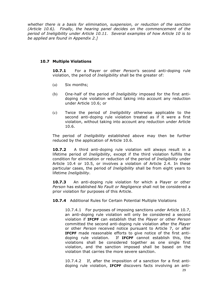*whether there is a basis for elimination, suspension, or reduction of the sanction (Article 10.6). Finally, the hearing panel decides on the commencement of the period of Ineligibility under Article 10.11. Several examples of how Article 10 is to be applied are found in Appendix 2.]*

# **10.7 Multiple Violations**

**10.7.1** For a Player or other *Person*'s second anti-doping rule violation, the period of *Ineligibility* shall be the greater of:

- (a) Six months;
- (b) One-half of the period of *Ineligibility* imposed for the first antidoping rule violation without taking into account any reduction under Article 10.6; or
- (c) Twice the period of *Ineligibility* otherwise applicable to the second anti-doping rule violation treated as if it were a first violation, without taking into account any reduction under Article 10.6.

The period of *Ineligibility* established above may then be further reduced by the application of Article 10.6.

**10.7.2** A third anti-doping rule violation will always result in a lifetime period of *Ineligibility*, except if the third violation fulfills the condition for elimination or reduction of the period of *Ineligibility* under Article 10.4 or 10.5, or involves a violation of Article 2.4. In these particular cases, the period of *Ineligibility* shall be from eight years to lifetime *Ineligibility*.

**10.7.3** An anti-doping rule violation for which a Player or other *Person* has established *No Fault or Negligence* shall not be considered a prior violation for purposes of this Article.

**10.7.4** Additional Rules for Certain Potential Multiple Violations

10.7.4.1 For purposes of imposing sanctions under Article 10.7, an anti-doping rule violation will only be considered a second violation if **IFCPF** can establish that the *Player* or other *Person* committed the second anti-doping rule violation after the *Player* or other *Person* received notice pursuant to Article 7, or after **IFCPF** made reasonable efforts to give notice of the first antidoping rule violation. If **IFCPF** cannot establish this, the violations shall be considered together as one single first violation, and the sanction imposed shall be based on the violation that carries the more severe sanction.

10.7.4.2 If, after the imposition of a sanction for a first antidoping rule violation, **IFCPF** discovers facts involving an anti-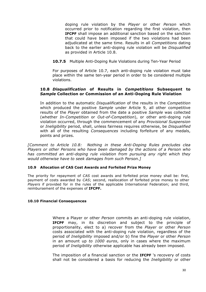doping rule violation by the *Player* or other *Person* which occurred prior to notification regarding the first violation, then **IFCPF** shall impose an additional sanction based on the sanction that could have been imposed if the two violations had been adjudicated at the same time. Results in all *Competitions* dating back to the earlier anti-doping rule violation will be *Disqualified* as provided in Article 10.8.

**10.7.5** Multiple Anti-Doping Rule Violations during Ten-Year Period

For purposes of Article 10.7, each anti-doping rule violation must take place within the same ten-year period in order to be considered multiple violations.

# **10.8** *Disqualification* **of Results in** *Competitions* **Subsequent to**  *Sample* **Collection or Commission of an Anti-Doping Rule Violation**

In addition to the automatic *Disqualification* of the results in the *Competition* which produced the positive *Sample* under Article 9, all other competitive results of the *Player* obtained from the date a positive *Sample* was collected (whether *In-Competition* or *Out-of-Competition*), or other anti-doping rule violation occurred, through the commencement of any *Provisional Suspension* or *Ineligibility* period, shall, unless fairness requires otherwise, be *Disqualified* with all of the resulting *Consequences* including forfeiture of any medals, points and prizes.

*[Comment to Article 10.8: Nothing in these Anti-Doping Rules precludes clea Players or other Persons who have been damaged by the actions of a Person who has committed an anti-doping rule violation from pursuing any right which they would otherwise have to seek damages from such Person.]*

# **10.9 Allocation of CAS Cost Awards and Forfeited Prize Money**

The priority for repayment of *CAS* cost awards and forfeited prize money shall be: first, payment of costs awarded by *CAS*; second, reallocation of forfeited prize money to other *Players* if provided for in the rules of the applicable International Federation; and third, reimbursement of the expenses of **IFCPF.**

# **10.10 Financial Consequences**

Where a Player or other *Person* commits an anti-doping rule violation, **IFCPF** may, in its discretion and subject to the principle of proportionality, elect to a) recover from the *Player* or other *Person*  costs associated with the anti-doping rule violation, regardless of the period of *Ineligibility* imposed and/or b) fine the *Player* or other *Person*  in an amount up *to 1000 euros*, only in cases where the maximum period of *Ineligibility* otherwise applicable has already been imposed.

The imposition of a financial sanction or the **IFCPF** 's recovery of costs shall not be considered a basis for reducing the *Ineligibility* or other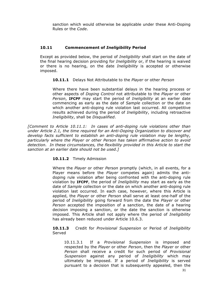sanction which would otherwise be applicable under these Anti-Doping Rules or the *Code*.

# **10.11 Commencement of** *Ineligibility* **Period**

Except as provided below, the period of *Ineligibility* shall start on the date of the final hearing decision providing for *Ineligibility* or, if the hearing is waived or there is no hearing, on the date *Ineligibility* is accepted or otherwise imposed.

**10.11.1** Delays Not Attributable to the *Player* or other *Person*

Where there have been substantial delays in the hearing process or other aspects of *Doping Control* not attributable to the *Player* or other *Person*, **IFCPF** may start the period of *Ineligibility* at an earlier date commencing as early as the date of *Sample* collection or the date on which another anti-doping rule violation last occurred. All competitive results achieved during the period of *Ineligibility*, including retroactive *Ineligibility*, shall be *Disqualified*.

*[Comment to Article 10.11.1: In cases of anti-doping rule violations other than under Article 2.1, the time required for an Anti-Doping Organization to discover and develop facts sufficient to establish an anti-doping rule violation may be lengthy, particularly where the Player or other Person has taken affirmative action to avoid detection. In these circumstances, the flexibility provided in this Article to start the sanction at an earlier date should not be used.]*

# **10.11.2** Timely Admission

Where the *Player* or other *Person* promptly (which, in all events, for a Player means before the *Player* competes again) admits the antidoping rule violation after being confronted with the anti-doping rule violation by **IFCPF**, the period of *Ineligibility* may start as early as the date of *Sample* collection or the date on which another anti-doping rule violation last occurred. In each case, however, where this Article is applied, the *Player* or other *Person* shall serve at least one-half of the period of *Ineligibility* going forward from the date the *Player* or other *Person* accepted the imposition of a sanction, the date of a hearing decision imposing a sanction, or the date the sanction is otherwise imposed. This Article shall not apply where the period of *Ineligibility* has already been reduced under Article 10.6.3.

**10.11.3** Credit for *Provisional Suspension* or Period of *Ineligibility*  Served

10.11.3.1 If a *Provisional Suspension* is imposed and respected by the *Player* or other *Person*, then the *Player* or other *Person* shall receive a credit for such period of *Provisional Suspension* against any period of *Ineligibility* which may ultimately be imposed. If a period of *Ineligibility* is served pursuant to a decision that is subsequently appealed, then the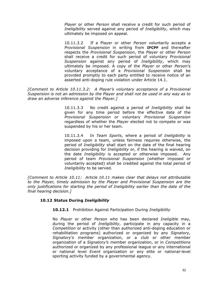*Player* or other *Person* shall receive a credit for such period of *Ineligibility* served against any period of *Ineligibility*, which may ultimately be imposed on appeal.

10.11.3.2 If a Player or other *Person* voluntarily accepts a *Provisional Suspension* in writing from **IFCPF** and thereafter respects the *Provisional Suspension*, the *Player* or other *Person* shall receive a credit for such period of voluntary *Provisional Suspension* against any period of *Ineligibility*, which may ultimately be imposed. A copy of the *Player* or other *Perso*n's voluntary acceptance of a *Provisional Suspension* shall be provided promptly to each party entitled to receive notice of an asserted anti-doping rule violation under Article 14.1.

*[Comment to Article 10.11.3.2: A Player's voluntary acceptance of a Provisional Suspension is not an admission by the Player and shall not be used in any way as to draw an adverse inference against the Player.]*

> 10.11.3.3 No credit against a period of *Ineligibility* shall be given for any time period before the effective date of the *Provisional Suspension* or voluntary *Provisional Suspension* regardless of whether the *Player* elected not to compete or was suspended by his or her team.

> 10.11.3.4 In *Team Sports*, where a period of *Ineligibility* is imposed upon a team, unless fairness requires otherwise, the period of *Ineligibility* shall start on the date of the final hearing decision providing for *Ineligibility* or, if the hearing is waived, on the date *Ineligibility* is accepted or otherwise imposed. Any period of team *Provisional Suspension* (whether imposed or voluntarily accepted) shall be credited against the total period of *Ineligibility* to be served.

*[Comment to Article 10.11: Article 10.11 makes clear that delays not attributable to the Player, timely admission by the Player and Provisional Suspension are the only justifications for starting the period of Ineligibility earlier than the date of the final hearing decision.]*

# **10.12 Status During** *Ineligibility*

**10.12.1** Prohibition Against Participation During *Ineligibility*

No *Player* or other *Person* who has been declared *Ineligible* may, during the period of *Ineligibility*, participate in any capacity in a *Competition* or activity (other than authorized anti-doping education or rehabilitation programs) authorized or organized by any *Signatory, Signatory's* member organization, or a club or other member organization of a *Signatory's* member organization, or in *Competitions* authorized or organized by any professional league or any international or national level *Event* organization or any elite or national-level sporting activity funded by a governmental agency.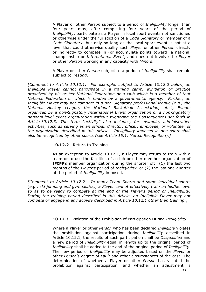A Player or other *Person* subject to a period of *Ineligibility* longer than four years may, after completing four years of the period of *Ineligibility*, participate as a Player in local sport events not sanctioned or otherwise under the jurisdiction of a *Code Signatory* or member of a *Code Signatory*, but only so long as the local sport event is not at a level that could otherwise qualify such *Player* or other *Person* directly or indirectly to compete in (or accumulate points toward) a national championship or *International Event*, and does not involve the *Player* or other *Person* working in any capacity with *Minors*.

A Player or other *Person* subject to a period of *Ineligibility* shall remain subject to *Testing*.

*[Comment to Article 10.12.1: For example, subject to Article 10.12.2 below, an Ineligible Player cannot participate in a training camp, exhibition or practice organized by his or her National Federation or a club which is a member of that National Federation or which is funded by a governmental agency. Further, an Ineligible Player may not compete in a non-Signatory professional league (e.g., the National Hockey League, the National Basketball Association, etc.), Events organized by a non-Signatory International Event organization or a non-Signatory national-level event organization without triggering the Consequences set forth in Article 10.12.3. The term "activity" also includes, for example, administrative activities, such as serving as an official, director, officer, employee, or volunteer of the organization described in this Article. Ineligibility imposed in one sport shall also be recognized by other sports (see Article 15.1, Mutual Recognition).]*

## **10.12.2** Return to Training

As an exception to Article 10.12.1, a Player may return to train with a team or to use the facilities of a club or other member organization of **IFCPF***'s* member organization during the shorter of: (1) the last two months of the *Player's* period of *Ineligibility*, or (2) the last one-quarter of the period of *Ineligibility* imposed.

*[Comment to Article 10.12.2: In many Team Sports and some individual sports (e.g., ski jumping and gymnastics), a Player cannot effectively train on his/her own so as to be ready to compete at the end of the Player's period of Ineligibility. During the training period described in this Article, an Ineligible Player may not compete or engage in any activity described in Article 10.12.1 other than training.]*

**10.12.3** Violation of the Prohibition of Participation During *Ineligibility*

Where a Player or other *Person* who has been declared *Ineligible* violates the prohibition against participation during *Ineligibility* described in Article 10.12.1, the results of such participation shall be *Disqualified* and a new period of *Ineligibility* equal in length up to the original period of *Ineligibility* shall be added to the end of the original period of *Ineligibility*. The new period of *Ineligibility* may be adjusted based on the *Player* or other *Person*'s degree of *Fault* and other circumstances of the case. The determination of whether a Player or other *Person* has violated the prohibition against participation, and whether an adjustment is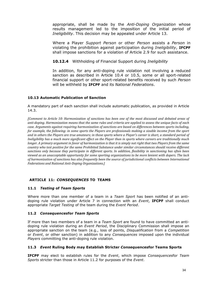appropriate, shall be made by the *Anti-Doping Organization* whose results management led to the imposition of the initial period of *Ineligibility*. This decision may be appealed under Article 13.

Where a Player *Support Person* or other *Person* assists a *Person* in violating the prohibition against participation during *Ineligibility*, **IFCPF** shall impose sanctions for a violation of Article 2.9 for such assistance.

**10.12.4** Withholding of Financial Support during *Ineligibility*

In addition, for any anti-doping rule violation not involving a reduced sanction as described in Article 10.4 or 10.5, some or all sport-related financial support or other sport-related benefits received by such *Person* will be withheld by **IFCPF** and its *National Federations*.

# **10.13 Automatic Publication of Sanction**

A mandatory part of each sanction shall include automatic publication, as provided in Article 14.3.

*[Comment to Article 10: Harmonization of sanctions has been one of the most discussed and debated areas of anti-doping. Harmonization means that the same rules and criteria are applied to assess the unique facts of each case. Arguments against requiring harmonization of sanctions are based on differences between sports including, for example, the following: in some sports the Players are professionals making a sizable income from the sport* and in others the Players are true amateurs; in those sports where a Player's career is short, a standard period of *Ineligibility has a much more significant effect on the Player than in sports where careers are traditionally much longer. A primary argument in favor of harmonization is that it is simply not right that two Players from the same country who test positive for the same Prohibited Substance under similar circumstances should receive different* sanctions only because they participate in different sports. In addition, flexibility in sanctioning has often been *viewed as an unacceptable opportunity for some sporting organizations to be more lenient with dopers. The lack of harmonization of sanctions has also frequently been the source of jurisdictional conflicts between International Federations and National Anti-Doping Organizations.]* 

# **ARTICLE 11:** *CONSEQUENCES* **TO TEAMS**

# **11.1** *Testing* **of** *Team Sports*

Where more than one member of a team in a *Team Sport* has been notified of an antidoping rule violation under Article 7 in connection with an *Event*, **IFCPF** shall conduct appropriate *Target Testing* of the team during the *Event Period*.

# **11.2** *Consequences***for** *Team Sports*

If more than two members of a team in a *Team Sport* are found to have committed an antidoping rule violation during an *Event Period*, the Disciplinary Commission shall impose an appropriate sanction on the team (e.g., loss of points, *Disqualification* from a *Competition*  or *Event*, or other sanction) in addition to any *Consequences* imposed upon the individual *Players* committing the anti-doping rule violation.

# **11.3** *Event* **Ruling Body may Establish Stricter** *Consequences***for Teams Sports**

**IFCPF** may elect to establish rules for the *Event*, which impose *Consequences*for *Team Sports* stricter than those in Article 11.2 for purposes of the *Event*.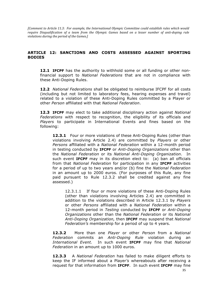*[Comment to Article 11.3: For example, the International Olympic Committee could establish rules which would require Disqualification of a team from the Olympic Games based on a lesser number of anti-doping rule violations during the period of the Games.]* 

# **ARTICLE 12: SANCTIONS AND COSTS ASSESSED AGAINST SPORTING BODIES**

**12.1 IFCPF** has the authority to withhold some or all funding or other nonfinancial support to *National Federations* that are not in compliance with these Anti-Doping Rules.

**12.2** *National Federations* shall be obligated to reimburse IFCPF for all costs (including but not limited to laboratory fees, hearing expenses and travel) related to a violation of these Anti-Doping Rules committed by a Player or other *Person* affiliated with that *National Federation*.

**12.3 IFCPF** may elect to take additional disciplinary action against *National Federations* with respect to recognition, the eligibility of its officials and *Players* to participate in International Events and fines based on the following:

**12.3.1** Four or more violations of these Anti-Doping Rules (other than violations involving Article 2.4) are committed by *Players* or other *Persons* affiliated with a *National Federation* within a 12-month period in testing conducted by **IFCPF** or *Anti-Doping Organizations* other than the *National Federation* or its *National Anti-Doping Organization*. In such event **IFCPF** may in its discretion elect to: (a) ban all officials from that *National Federation* for participation in any **IFCPF** activities for a period of up to two years and/or (b) fine the *National Federation* in an amount up to 2000 euros. (For purposes of this Rule, any fine paid pursuant to Rule 12.3.2 shall be credited against any fine assessed.)

12.3.1.1 If four or more violations of these Anti-Doping Rules (other than violations involving Articles 2.4) are committed in addition to the violations described in Article 12.3.1 by *Players* or other *Persons* affiliated with a *National Federation* within a 12-month period in *Testing* conducted by **IFCPF** or *Anti-Doping Organizations* other than the *National Federation* or its *National Anti-Doping Organization,* then **IFCPF** may suspend that *National Federation's* membership for a period of up to 4 years.

**12.3.2** More than one *Player* or other *Person* from a *National Federation* commits an *Anti-Doping Rule* violation during an *International Event.* In such event **IFCPF** may fine that *National Federation* in an amount up to 1000 euros.

**12.3.3** A *National Federation* has failed to make diligent efforts to keep the IF informed about a Player*'s* whereabouts after receiving a request for that information from **IFCPF**. In such event **IFCPF** may fine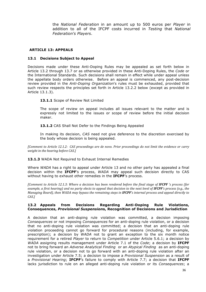the *National Federation* in an amount up to 500 euros per *Player* in addition to all of the IFCPF costs incurred in *Testing* that *National Federation's Players*.

## **ARTICLE 13: APPEALS**

#### **13.1 Decisions Subject to Appeal**

Decisions made under these Anti-Doping Rules may be appealed as set forth below in Article 13.2 through 13.7 or as otherwise provided in these Anti-Doping Rules, the *Code* or the International Standards. Such decisions shall remain in effect while under appeal unless the appellate body orders otherwise. Before an appeal is commenced, any post-decision review provided in the *Anti-Doping Organization*'s rules must be exhausted, provided that such review respects the principles set forth in Article 13.2.2 below (except as provided in Article 13.1.3).

#### 13.1.1 Scope of Review Not Limited

The scope of review on appeal includes all issues relevant to the matter and is expressly not limited to the issues or scope of review before the initial decision maker.

13.1.2 CAS Shall Not Defer to the Findings Being Appealed

In making its decision, *CAS* need not give deference to the discretion exercised by the body whose decision is being appealed.

*[Comment to Article 12.1.2: CAS proceedings are de novo. Prior proceedings do not limit the evidence or carry weight in the hearing before CAS.]* 

#### 13.1.3 WADA Not Required to Exhaust Internal Remedies

Where *WADA* has a right to appeal under Article 13 and no other party has appealed a final decision within the **IFCPF**'s process, *WADA* may appeal such decision directly to CAS without having to exhaust other remedies in the **IFCPF**'s process.

*[Comment to Article 12.1.3: Where a decision has been rendered before the final stage of IFCPF 's process (for*) *example, a first hearing) and no party elects to appeal that decision to the next level of IFCPF's process (e.g., the Managing Board), then WADA may bypass the remaining steps in IFCPF's internal process and appeal directly to CAS.]*

#### **13.2 Appeals from Decisions Regarding Anti-Doping Rule Violations, Consequences,** *Provisional Suspension***s, Recognition of Decisions and Jurisdiction**

A decision that an anti-doping rule violation was committed, a decision imposing *Consequences* or not imposing *Consequences* for an anti-doping rule violation, or a decision that no anti-doping rule violation was committed; a decision that an anti-doping rule violation proceeding cannot go forward for procedural reasons (including, for example, prescription); a decision by *WADA* not to grant an exception to the six month notice requirement for a retired *Player* to return to *Competition* under Article 5.6.1; a decision by *WADA* assigning results management under Article 7.1 of the *Code*; a decision by **IFCPF** not to bring forward an *Adverse Analytical Finding* or an *Atypical Finding* as an anti-doping rule violation, or a decision not to go forward with an anti-doping rule violation after an investigation under Article 7.5; a decision to impose a *Provisional Suspension* as a result of a *Provisional Hearing*; **IFCPF**'s failure to comply with Article 7.7; a decision that **IFCPF** lacks jurisdiction to rule on an alleged anti-doping rule violation or its *Consequences*; a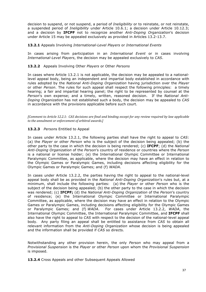decision to suspend, or not suspend, a period of *Ineligibility* or to reinstate, or not reinstate, a suspended period of *Ineligibility* under Article 10.6.1; a decision under Article 10.12.3; and a decision by **IFCPF** not to recognize another *Anti-Doping Organization*'s decision under Article 15 may be appealed exclusively as provided in Articles 13.2-13.7.

#### **13.2.1** Appeals Involving *International-Level Players* or *International Events*

In cases arising from participation in an *International Event* or in cases involving *International-Level Players*, the decision may be appealed exclusively to *CAS*.

## **13.2.2** Appeals Involving Other *Players* or Other *Persons*

In cases where Article 13.2.1 is not applicable, the decision may be appealed to a nationallevel appeal body, being an independent and impartial body established in accordance with rules adopted by the *National Anti-Doping Organization* having jurisdiction over the *Player* or other *Person*. The rules for such appeal shall respect the following principles: a timely hearing; a fair and impartial hearing panel; the right to be represented by counsel at the *Person*'s own expense; and a timely, written, reasoned decision. If the *National Anti-Doping Organization* has not established such a body, the decision may be appealed to *CAS* in accordance with the provisions applicable before such court.

*[Comment to Article 12.2.1: CAS decisions are final and binding except for any review required by law applicable* to the annulment or enforcement of arbitral awards.]

# **13.2.3** *Person*s Entitled to Appeal

In cases under Article 13.2.1, the following parties shall have the right to appeal to *CAS*: (a) the *Player* or other *Person* who is the subject of the decision being appealed; (b) the other party to the case in which the decision is being rendered; (c) **IFCPF**; (d) the *National Anti-Doping Organization* of the *Person*'s country of residence or countries where the *Person* is a national or license holder; (e) the International Olympic Committee or International Paralympic Committee, as applicable, where the decision may have an effect in relation to the Olympic Games or Paralympic Games, including decisions affecting eligibility for the Olympic Games or Paralympic Games; and (f) *WADA*.

In cases under Article 13.2.2, the parties having the right to appeal to the national-level appeal body shall be as provided in the *National Anti-Doping Organization*'s rules but, at a minimum, shall include the following parties: (a) the *Player* or other *Person* who is the subject of the decision being appealed; (b) the other party to the case in which the decision was rendered; (c) **IFCPF;** (d) the *National Anti-Doping Organization* of the *Person*'s country of residence; (e) the International Olympic Committee or International Paralympic Committee, as applicable, where the decision may have an effect in relation to the Olympic Games or Paralympic Games, including decisions affecting eligibility for the Olympic Games or Paralympic Games; and (f) *WADA*. For cases under Article 13.2.2, *WADA*, the International Olympic Committee, the International Paralympic Committee, and **IFCPF** shall also have the right to appeal to *CAS* with respect to the decision of the national-level appeal body. Any party filing an appeal shall be entitled to assistance from *CAS* to obtain all relevant information from the *Anti-Doping Organization* whose decision is being appealed and the information shall be provided if *CAS* so directs.

Notwithstanding any other provision herein, the only *Person* who may appeal from a *Provisional Suspension* is the *Player* or other *Person* upon whom the *Provisional Suspension*  is imposed.

**13.2.4** Cross Appeals and other Subsequent Appeals Allowed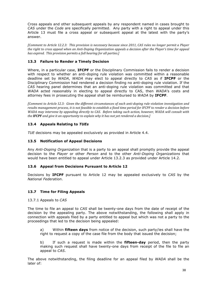Cross appeals and other subsequent appeals by any respondent named in cases brought to *CAS* under the *Code* are specifically permitted. Any party with a right to appeal under this Article 13 must file a cross appeal or subsequent appeal at the latest with the party's answer.

*[Comment to Article 12.2.3: This provision is necessary because since 2011, CAS rules no longer permit a Player the right to cross appeal when an Anti-Doping Organization appeals a decision after the Player's time for appeal has expired. This provision permits a full hearing for all parties.]* 

# **13.3 Failure to Render a Timely Decision**

Where, in a particular case, **IFCPF** or the Disciplinary Commission fails to render a decision with respect to whether an anti-doping rule violation was committed within a reasonable deadline set by *WADA*, *WADA* may elect to appeal directly to *CAS* as if **IFCPF** or the Disciplinary Commission had rendered a decision finding no anti-doping rule violation. If the *CAS* hearing panel determines that an anti-doping rule violation was committed and that *WADA* acted reasonably in electing to appeal directly to CAS, then *WADA*'s costs and attorney fees in prosecuting the appeal shall be reimbursed to *WADA* by **IFCPF**.

*[Comment to Article 12.3: Given the different circumstances of each anti-doping rule violation investigation and results management process, it is not feasible to establish a fixed time period for IFCPF to render a decision before WADA may intervene by appealing directly to CAS. Before taking such action, however, WADA will consult with the IFCPF* and give it an opportunity to explain why it has not yet rendered a decision.]

# **13.4 Appeals Relating to** *TUEs*

*TUE* decisions may be appealed exclusively as provided in Article 4.4.

## **13.5 Notification of Appeal Decisions**

Any *Anti-Doping Organization* that is a party to an appeal shall promptly provide the appeal decision to the *Player* or other *Person* and to the other *Anti-Doping Organizations* that would have been entitled to appeal under Article 13.2.3 as provided under Article 14.2.

#### **13.6 Appeal from Decisions Pursuant to Article 12**

Decisions by **IFCPF** pursuant to Article 12 may be appealed exclusively to *CAS* by the *National Federation*.

#### **13.7 Time for Filing Appeals**

13.7.1 Appeals to *CAS*

The time to file an appeal to *CAS* shall be twenty-one days from the date of receipt of the decision by the appealing party. The above notwithstanding, the following shall apply in connection with appeals filed by a party entitled to appeal but which was not a party to the proceedings that led to the decision being appealed:

a) Within **fifteen days** from notice of the decision, such party/ies shall have the right to request a copy of the case file from the body that issued the decision;

b) If such a request is made within the **fifteen-day** period, then the party making such request shall have twenty-one days from receipt of the file to file an appeal to *CAS*.

The above notwithstanding, the filing deadline for an appeal filed by *WADA* shall be the later of: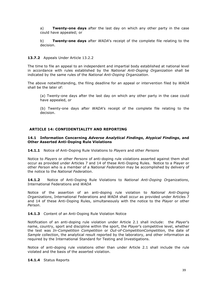a) **Twenty-one days** after the last day on which any other party in the case could have appealed; or

b) **Twenty-one days** after *WADA*'s receipt of the complete file relating to the decision.

## **13.7.2** Appeals Under Article 13.2.2

The time to file an appeal to an independent and impartial body established at national level in accordance with rules established by the *National Anti-Doping Organization* shall be indicated by the same rules of the *National Anti-Doping Organization*.

The above notwithstanding, the filing deadline for an appeal or intervention filed by *WADA* shall be the later of:

(a) Twenty-one days after the last day on which any other party in the case could have appealed, or

(b) Twenty-one days after *WADA*'s receipt of the complete file relating to the decision.

## **ARTICLE 14: CONFIDENTIALITY AND REPORTING**

#### **14.1 Information Concerning** *Adverse Analytical Findings***,** *Atypical Findings***, and Other Asserted Anti-Doping Rule Violations**

**14.1.1** Notice of Anti-Doping Rule Violations to *Players* and other *Persons*

Notice to *Players* or other *Persons* of anti-doping rule violations asserted against them shall occur as provided under Articles 7 and 14 of these Anti-Doping Rules. Notice to a Player or other *Person* who is a member of a *National Federation* may be accomplished by delivery of the notice to the *National Federation*.

**14.1.2** Notice of Anti-Doping Rule Violations to *National Anti-Doping Organizations*, International Federations and *WADA*

Notice of the assertion of an anti-doping rule violation to *National Anti-Doping Organizations*, International Federations and *WADA* shall occur as provided under Articles 7 and 14 of these Anti-Doping Rules, simultaneously with the notice to the *Player* or other *Person*.

#### 14.1.3 Content of an Anti-Doping Rule Violation Notice

Notification of an anti-doping rule violation under Article 2.1 shall include: the *Player*'s name, country, sport and discipline within the sport, the *Player*'s competitive level, whether the test was *In-Competition Competition* or *Out-of-CompetitionCompetition,* the date of *Sample* collection, the analytical result reported by the laboratory, and other information as required by the International Standard for Testing and Investigations.

Notice of anti-doping rule violations other than under Article 2.1 shall include the rule violated and the basis of the asserted violation.

## **14.1.4** Status Reports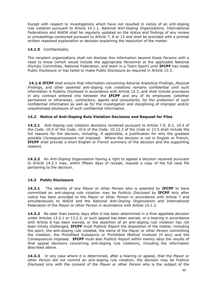Except with respect to investigations which have not resulted in notice of an anti-doping rule violation pursuant to Article 14.1.1, *National Anti-Doping Organizations*, International Federations and *WADA* shall be regularly updated on the status and findings of any review or proceedings conducted pursuant to Article 7, 8 or 13 and shall be provided with a prompt written reasoned explanation or decision explaining the resolution of the matter.

## **14.1.5** Confidentiality

The recipient organizations shall not disclose this information beyond those *Person*s with a need to know (which would include the appropriate *Person*nel at the applicable National Olympic Committee, National Federation, and team in a Team Sport) until **IFCPF** has made Public Disclosure or has failed to make Public Disclosure as required in Article 13.3.

**14.1.6 IFCPF** shall ensure that information concerning *Adverse Analytical Finding*s, *Atypical Finding*s, and other asserted anti-doping rule violations remains confidential until such information is Publicly Disclosed in accordance with Article 13.3, and shall include provisions in any contract entered into between the **IFCPF** and any of its employees (whether permanent or otherwise), contractors, agents and consultants, for the protection of such confidential information as well as for the investigation and disciplining of improper and/or unauthorised disclosure of such confidential information.

# **14.2 Notice of Anti-Doping Rule Violation Decisions and Request for Files**

**14.2.1** Anti-doping rule violation decisions rendered pursuant to Article 7.9, 8.2, 10.4 of the *Code*, 10.5 of the *Code*, 10.6 of the *Code*, 10.12.3 of the *Code* or 13.5 shall include the full reasons for the decision, including, if applicable, a justification for why the greatest possible *Consequences*were not imposed. Where the decision is not in English or French, **IFCPF** shall provide a short English or French summary of the decision and the supporting reasons.

**14.2.2** An *Anti-Doping Organization* having a right to appeal a decision received pursuant to Article 14.2.1 may, within fifteen days of receipt, request a copy of the full case file pertaining to the decision.

# **14.3 Public Disclosure**

**14.3.1** The identity of any *Player* or other *Person* who is asserted by **IFCPF** to have committed an anti-doping rule violation may be *Publicly Disclosed* by **IFCPF** only after notice has been provided to the *Player* or other *Person* in accordance with Article 7 and simultaneously to *WADA* and the *National Anti-Doping Organization* and International Federation of the *Player* or other *Person* in accordance with Article 14.1.2.

**14.3.2** No later than twenty days after it has been determined in a final appellate decision under Articles 13.2.1 or 13.2.2, or such appeal has been waived, or a hearing in accordance with Article 8 has been waived, or the assertion of an anti-doping rule violation has not been timely challenged, **IFCPF** must *Publicly Report* the disposition of the matter, including the sport, the anti-doping rule violated, the name of the *Player* or other *Person* committing the violation, the *Prohibited Substance* or *Prohibited Method* involved (if any) and the *Consequences* imposed. **IFCPF** must also *Publicly Report* within twenty days the results of final appeal decisions concerning anti-doping rule violations, including the information described above.

**14.3.3** In any case where it is determined, after a hearing or appeal, that the *Player* or other *Person* did not commit an anti-doping rule violation, the decision may be *Publicly Disclosed* only with the consent of the *Player* or other *Person* who is the subject of the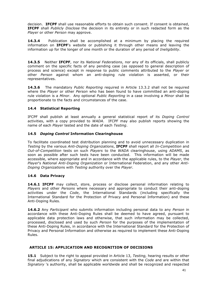decision. **IFCPF** shall use reasonable efforts to obtain such consent. If consent is obtained, **IFCPF** shall *Publicly Disclose* the decision in its entirety or in such redacted form as the *Player* or other *Person* may approve.

**14.3.4** Publication shall be accomplished at a minimum by placing the required information on **IFCPF**'s website or publishing it through other means and leaving the information up for the longer of one month or the duration of any period of *Ineligibility*.

**14.3.5** Neither **IFCPF**, nor its *National Federations*, nor any of its officials, shall publicly comment on the specific facts of any pending case (as opposed to general description of process and science) except in response to public comments attributed to the *Player* or other *Person* against whom an anti-doping rule violation is asserted, or their representatives.

**14.3.6** The mandatory *Public Reporting* required in Article 13.3.2 shall not be required where the *Player* or other *Person* who has been found to have committed an anti-doping rule violation is a *Minor*. Any optional *Public Reporting* in a case involving a *Minor* shall be proportionate to the facts and circumstances of the case.

# **14.4 Statistical Reporting**

IFCPF shall publish at least annually a general statistical report of its *Doping Control* activities, with a copy provided to *WADA*. IFCPF may also publish reports showing the name of each *Player* tested and the date of each *Testing*.

# **14.5** *Doping Control* **Information Clearinghouse**

To facilitate coordinated test distribution planning and to avoid unnecessary duplication in *Testing* by the various *Anti-Doping Organizations*, **IFCPF** shall report all *In-Competition* and *Out-of-Competition* tests on such *Players* to the *WADA* clearinghouse, using *ADAMS*, as soon as possible after such tests have been conducted. This information will be made accessible, where appropriate and in accordance with the applicable rules, to the *Player*, the *Player*'s *National Anti-Doping Organization* or International Federation, and any other *Anti-Doping Organization*s with *Testing* authority over the *Player*.

# **14.6 Data Privacy**

**14.6.1 IFCPF** may collect, store, process or disclose personal information relating to *Players* and other *Persons* where necessary and appropriate to conduct their anti-doping activities under the *Code*, the International Standards (including specifically the International Standard for the Protection of Privacy and Personal Information) and these Anti-Doping Rules.

**14.6.2** Any *Participant* who submits information including personal data to any *Person* in accordance with these Anti-Doping Rules shall be deemed to have agreed, pursuant to applicable data protection laws and otherwise, that such information may be collected, processed, disclosed and used by such *Person* for the purposes of the implementation of these Anti-Doping Rules, in accordance with the International Standard for the Protection of Privacy and Personal Information and otherwise as required to implement these Anti-Doping Rules.

# **ARTICLE 15: APPLICATION AND RECOGNITION OF DECISIONS**

**15.1** Subject to the right to appeal provided in Article 13, *Testing,* hearing results or other final adjudications of any *Signatory* which are consistent with the *Code* and are within that *Signatory* 's authority, shall be applicable worldwide and shall be recognized and respected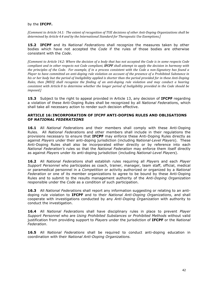#### by the **IFCPF.**

*[Comment to Article 14.1: The extent of recognition of TUE decisions of other Anti-Doping Organizations shall be determined by Article 4.4 and by the International Standard for Therapeutic Use Exemptions.]* 

**15.2 IFCPF** and its *National Federations* shall recognize the measures taken by other bodies which have not accepted the *Code* if the rules of those bodies are otherwise consistent with the *Code*.

*[Comment to Article 14.2: Where the decision of a body that has not accepted the Code is in some respects Code compliant and in other respects not Code compliant, IFCPF shall attempt to apply the decision in harmony with the principles of the Code.* For example, if in a process consistent with the Code a non-Signatory has found a *Player* to have committed an anti-doping rule violation on account of the presence of a Prohibited Substance in *his or her body but the period of Ineligibility applied is shorter than the period provided for in these Anti-Doping Rules, then [MEO] shall recognize the finding of an anti-doping rule violation and may conduct a hearing consistent with Article* 8 to determine whether the longer period of Ineligibility provided in the Code should be *imposed.]*

**15.3** Subject to the right to appeal provided in Article 13, any decision of **IFCPF** regarding a violation of these Anti-Doping Rules shall be recognized by all *National Federation*s, which shall take all necessary action to render such decision effective.

#### **ARTICLE 16: INCORPORATION OF IFCPF ANTI-DOPING RULES AND OBLIGATIONS OF** *NATIONAL FEDERATIONS*

**16.1** All *National Federation*s and their members shall comply with these Anti-Doping Rules. All *National Federation*s and other members shall include in their regulations the provisions necessary to ensure that **IFCPF** may enforce these Anti-Doping Rules directly as against *Players* under their anti-doping jurisdiction (including *National-Level Players*). These Anti-Doping Rules shall also be incorporated either directly or by reference into each *National Federation's* rules so that the *National Federation* may enforce them itself directly as against *Players* under its anti-doping jurisdiction (including *National-Level Players*).

**16.2** All *National Federation*s shall establish rules requiring all *Player*s and each *Player Support Personnel* who participates as coach, trainer, manager, team staff, official, medical or paramedical personnel in a *Competition* or activity authorized or organized by a *National Federation* or one of its member organizations to agree to be bound by these Anti-Doping Rules and to submit to the results management authority of the *Anti-Doping Organization*  responsible under the *Code* as a condition of such participation.

**16.3** All *National Federation*s shall report any information suggesting or relating to an antidoping rule violation to **IFCPF** and to their *National Anti-Doping Organizations*, and shall cooperate with investigations conducted by any *Anti-Doping Organization* with authority to conduct the investigation.

**16.4** All *National Federation*s shall have disciplinary rules in place to prevent *Player Support Personnel* who are *Using Prohibited Substances* or *Prohibited Methods* without valid justification from providing support to *Players* under the jurisdiction of **IFCPF** or the *National Federation*.

**16.5** All *National Federations* shall be required to conduct anti-doping education in coordination with their *National Anti-Doping Organizations.*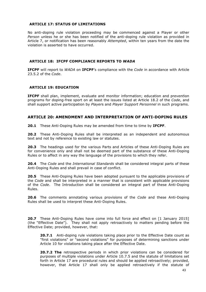#### **ARTICLE 17: STATUS OF LIMITATIONS**

No anti-doping rule violation proceeding may be commenced against a Player or other *Person* unless he or she has been notified of the anti-doping rule violation as provided in Article 7, or notification has been reasonably *Attempted*, within ten years from the date the violation is asserted to have occurred.

#### **ARTICLE 18: IFCPF COMPLIANCE REPORTS TO** *WADA*

**IFCPF** will report to *WADA* on **IFCPF**'s compliance with the *Code* in accordance with Article 23.5.2 of the *Code*.

## **ARTICLE 19: EDUCATION**

**IFCPF** shall plan, implement, evaluate and monitor information; education and pr*event*ion programs for doping-free sport on at least the issues listed at Article 18.2 of the *Code*, and shall support active participation by *Player*s and *Player Support Personnel* in such programs.

# **ARTICLE 20: AMENDMENT AND INTERPRETATION OF ANTI-DOPING RULES**

**20.1** These Anti-Doping Rules may be amended from time to time by **IFCPF**.

**20.2** These Anti-Doping Rules shall be interpreted as an independent and autonomous text and not by reference to existing law or statutes.

**20.3** The headings used for the various Parts and Articles of these Anti-Doping Rules are for convenience only and shall not be deemed part of the substance of these Anti-Doping Rules or to affect in any way the language of the provisions to which they refer.

**20.4** The *Code* and the *International Standards* shall be considered integral parts of these Anti-Doping Rules and shall prevail in case of conflict.

**20.5** These Anti-Doping Rules have been adopted pursuant to the applicable provisions of the *Code* and shall be interpreted in a manner that is consistent with applicable provisions of the *Code*. The Introduction shall be considered an integral part of these Anti-Doping Rules.

**20.6** The comments annotating various provisions of the *Code* and these Anti-Doping Rules shall be used to interpret these Anti-Doping Rules.

**20.7** These Anti-Doping Rules have come into full force and effect on [1 January 2015] (the "Effective Date"). They shall not apply retroactively to matters pending before the Effective Date; provided, however, that:

**20.7.1** Anti-doping rule violations taking place prior to the Effective Date count as "first violations" or "second violations" for purposes of determining sanctions under Article 10 for violations taking place after the Effective Date.

**20.7.2 The** retrospective periods in which prior violations can be considered for purposes of multiple violations under Article 10.7.5 and the statute of limitations set forth in Article 17 are procedural rules and should be applied retroactively; provided, however, that Article 17 shall only be applied retroactively if the statute of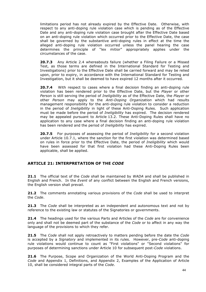limitations period has not already expired by the Effective Date. Otherwise, with respect to any anti-doping rule violation case which is pending as of the Effective Date and any anti-doping rule violation case brought after the Effective Date based on an anti-doping rule violation which occurred prior to the Effective Date, the case shall be governed by the substantive anti-doping rules in effect at the time the alleged anti-doping rule violation occurred unless the panel hearing the case determines the principle of "lex mitior" appropriately applies under the circumstances of the case.

**20.7.3** Any Article 2.4 whereabouts failure (whether a Filing Failure or a Missed Test, as those terms are defined in the International Standard for Testing and Investigations) prior to the Effective Date shall be carried forward and may be relied upon, prior to expiry, in accordance with the International Standard for Testing and Investigation, but it shall be deemed to have expired 12 months after it occurred*.* 

**20.7.4** With respect to cases where a final decision finding an anti-doping rule violation has been rendered prior to the Effective Date, but the *Player* or other *Person* is still serving the period of *Ineligibility* as of the Effective Date, the *Player* or other *Person* may apply to the *Anti-Doping Organization* which had results management responsibility for the anti-doping rule violation to consider a reduction in the period of *Ineligibility* in light of these Anti-Doping Rules. Such application must be made before the period of *Ineligibility* has expired. The decision rendered may be appealed pursuant to Article 13.2. These Anti-Doping Rules shall have no application to any case where a final decision finding an anti-doping rule violation has been rendered and the period of *Ineligibility* has expired.

**20.7.5** For purposes of assessing the period of *Ineligibility* for a second violation under Article 10.7.1, where the sanction for the first violation was determined based on rules in force prior to the Effective Date, the period of *Ineligibility* which would have been assessed for that first violation had these Anti-Doping Rules been applicable, shall be applied.

# **ARTICLE 21: INTERPRETATION OF THE** *CODE*

**21.1** The official text of the *Code* shall be maintained by *WADA* and shall be published in English and French. In the *Event* of any conflict between the English and French versions, the English version shall prevail.

**21.2** The comments annotating various provisions of the *Code* shall be used to interpret the *Code*.

**21.3** The *Code* shall be interpreted as an independent and autonomous text and not by reference to the existing law or statutes of the Signatories or governments.

**21.4** The headings used for the various Parts and Articles of the *Code* are for convenience only and shall not be deemed part of the substance of the *Code* or to affect in any way the language of the provisions to which they refer.

**21.5** The *Code* shall not apply retroactively to matters pending before the date the *Code* is accepted by a *Signatory* and implemented in its rules. However, pre-*Code* anti-doping rule violations would continue to count as "First violations" or "Second violations" for purposes of determining sanctions under Article 10 for subsequent post-*Code* violations.

**21.6** The Purpose, Scope and Organization of the World Anti-Doping Program and the *Code* and Appendix 1, Definitions, and Appendix 2, Examples of the Application of Article 10, shall be considered integral parts of the *Code*.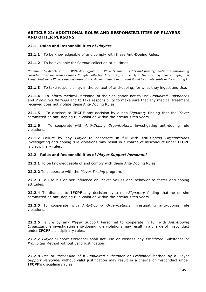# **ARTICLE 22: ADDITIONAL ROLES AND RESPONSIBILITIES OF PLAYERS AND OTHER PERSONS**

## **22.1 Roles and Responsibilities of** *Players*

**22.1.1** To be knowledgeable of and comply with these Anti-Doping Rules.

**22.1.2** To be available for *Sample* collection at all times.

*[Comment to Article 20.1.2: With due regard to a Player's human rights and privacy, legitimate anti-doping* considerations sometimes require Sample collection late at night or early in the morning. For example, it is *known that some Players use low doses of EPO during these hours so that it will be undetectable in the morning.]* 

22.1.3 To take responsibility, in the context of anti-doping, for what they ingest and Use.

**22.1.4** To inform medical *Person*nel of their obligation not to Use *Prohibited Substances* and *Prohibited Methods* and to take responsibility to make sure that any medical treatment received does not violate these Anti-Doping Rules.

**22.1.5** To disclose to **IFCPF** any decision by a non-*Signatory* finding that the *Player* committed an anti-doping rule violation within the previous ten years.

**22.1.6** To cooperate with *Anti-Doping Organizations* investigating anti-doping rule violations.

**22.1.7** Failure by any *Player* to cooperate in full with *Anti-Doping Organization*s investigating anti-doping rule violations may result in a charge of misconduct under **IFCPF** 's disciplinary rules.

#### **22.2 Roles and Responsibilities of** *Player Support Personnel*

**22.2.1** To be knowledgeable of and comply with these Anti-Doping Rules.

**22.2.2** To cooperate with the *Player Testing* program.

**22.2.3** To use his or her influence on *Player* values and behavior to foster anti-doping attitudes.

**22.2.4** To disclose to **IFCPF** any decision by a non-*Signatory* finding that he or she committed an anti-doping rule violation within the previous ten years.

**22.2.5** To cooperate with *Anti-Doping Organization*s investigating anti-doping rule violations.

**22.2.6** Failure by any *Player* Support *Person*nel to cooperate in full with *Anti-Doping Organization*s investigating anti-doping rule violations may result in a charge of misconduct under **IFCPF**'s disciplinary rules.

**22.2.7** *Player* Support *Person*nel shall not Use or Possess any *Prohibited* Substance or *Prohibited* Method without valid justification.

**22.2.8** *Use* or *Possession* of a *Prohibited Substance* or *Prohibited* Method by a Player *Support Personnel* without valid justification may result in a charge of misconduct under **IFCPF**'s disciplinary rules.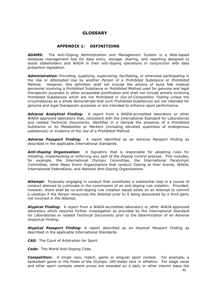# **GLOSSARY**

## **APPENDIX 1: DEFINITIONS**

*ADAMS***:** The Anti-Doping Administration and Management System is a Web-based database management tool for data entry, storage, sharing, and reporting designed to assist stakeholders and *WADA* in their anti-doping operations in conjunction with data protection legislation.

*Administration***:** Providing, supplying, supervising, facilitating, or otherwise participating in the Use or *Attempted* Use by another *Person* of a *Prohibited Substance* or *Prohibited*  Method. However, this definition shall not include the actions of bona fide medical personnel involving a *Prohibited* Substance or *Prohibited* Method used for genuine and legal therapeutic purposes or other acceptable justification and shall not include actions involving *Prohibited* Substances which are not *Prohibited* in *Out-of-Competition Testing* unless the circumstances as a whole demonstrate that such *Prohibited* Substances are not intended for genuine and legal therapeutic purposes or are intended to enhance sport performance.

*Adverse Analytical Finding:* A report from a *WADA*-accredited laboratory or other *WADA*-approved laboratory that, consistent with the International Standard for Laboratories and related Technical Documents, identifies in a *Sample* the presence of a *Prohibited*  Substance or its *Metabolites* or *Markers* (including elevated quantities of endogenous substances) or evidence of the *Use* of a *Prohibited* Method.

*Adverse Passport Finding***:** A report identified as an *Adverse Passport Finding* as described in the applicable *International Standards*.

*Anti-Doping Organization***:** A *Signatory* that is responsible for adopting rules for initiating, implementing or enforcing any part of the *Doping Control* process. This includes, for example, the International Olympic Committee, the International Paralympic Committee, other *Major Event Organizations* that conduct *Testing* at their *Event*s, *WADA*, International Federations, and *National Anti-Doping Organizations.* 

Attempt: Purposely engaging in conduct that constitutes a substantial step in a course of conduct planned to culminate in the commission of an anti-doping rule violation. Provided, however, there shall be no anti-doping rule violation based solely on an *Attempt* to commit a violation if the *Person* renounces the *Attempt* prior to it being discovered by a third party not involved in the *Attempt*.

*Atypical Finding***:** A report from a *WADA*-accredited laboratory or other *WADA*-approved laboratory which requires further investigation as provided by the International Standard for Laboratories or related Technical Documents prior to the determination of an *Adverse Analytical Finding.*

*Atypical Passport Finding***:** A report described as an *Atypical Passport Finding* as described in the applicable International Standards.

*CAS***:** The Court of Arbitration for Sport.

*Code***:** The World Anti-Doping Code.

*Competition***:** A single race, match, game or singular sport contest. For example, a basketball game or the finals of the Olympic 100-meter race in athletics. For stage races and other sport contests where prizes are awarded on a daily or other interim basis the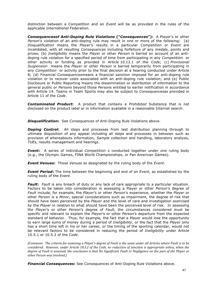distinction between a *Competition* and an *Event* will be as provided in the rules of the applicable International Federation.

*Consequencesof Anti-Doping Rule Violations* **("***Consequences***"):** A Player's or other *Person*'s violation of an anti-doping rule may result in one or more of the following: (a) *Disqualification* means the *Player*'s results in a particular *Competition* or *Event* are invalidated, with all resulting *Consequences* including forfeiture of any medals, points and prizes; (b) *Ineligibility* means the *Player* or other *Person* is barred on account of an antidoping rule violation for a specified period of time from participating in any *Competition* or other activity or funding as provided in Article 10.12.1 of the *Code*; (c) *Provisional Suspension* means the *Player* or other *Person* is barred temporarily from participating in any *Competition* or activity prior to the final decision at a hearing conducted under Article 8; (d) Financial *Consequences*means a financial sanction imposed for an anti-doping rule violation or to recover costs associated with an anti-doping rule violation; and (e) Public Disclosure or Public Reporting means the dissemination or distribution of information to the general public or *Persons* beyond those *Person*s entitled to earlier notification in accordance with Article 14. Teams in Team Sports may also be subject to *Consequences*as provided in Article 11 of the *Code*.

*Contaminated Product***:** A product that contains a *Prohibited* Substance that is not disclosed on the product label or in information available in a reasonable Internet search.

*Disqualification***:** See *Consequences* of Anti-Doping Rule Violations above.

**Doping Control:** All steps and processes from test distribution planning through to ultimate disposition of any appeal including all steps and processes in between such as provision of whereabouts information, *Sample* collection and handling, laboratory analysis, *TUE*s, results management and hearings.

*Event***:** A series of individual *Competition* s conducted together under one ruling body (e.g., the Olympic Games, FINA World Championships, or Pan American Games).

*Event Venues***:** Those *Venues* so designated by the ruling body of the *Event*.

*Event Period***:** The time between the beginning and end of an *Event*, as established by the ruling body of the *Event*.

*Fault***:** *Fault* is any breach of duty or any lack of care appropriate to a particular situation. Factors to be taken into consideration in assessing a Player or other *Person*'s degree of *Fault* include, for example, the *Player*'s or other *Person*'s experience, whether the *Player* or other *Person* is a *Minor*, special considerations such as impairment, the degree of risk that should have been perceived by the *Player* and the level of care and investigation exercised by the *Player* in relation to what should have been the perceived level of risk. In assessing the *Player*'s or other *Person*'s degree of *Fault*, the circumstances considered must be specific and relevant to explain the *Player*'s or other *Person*'s departure from the expected standard of behavior. Thus, for example, the fact that a Player would lose the opportunity to earn large sums of money during a period of *Ineligibility*, or the fact that the *Player* only has a short time left in his or her career, or the timing of the sporting calendar, would not be relevant factors to be considered in reducing the period of *Ineligibility* under Article 10.5.1 or 10.5.2 of the *Code*.

*[Comment: The criteria for assessing a Player's degree of Fault is the same under all Articles where Fault is to be considered.* However, under Article 10.5.2 of the Code, no reduction of sanction is appropriate unless, when the *degree of Fault is assessed, the conclusion is that No Significant Fault or Negligence on the part of the Player or other Person was involved.]* 

*Financial Consequences***:** See *Consequences* of Anti-Doping Rule Violations above.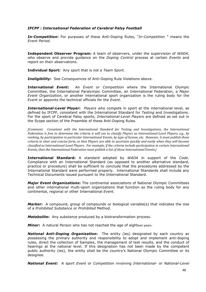# *IFCPF : International Federation of Cerebral Palsy Football*

*In-Competition***:** For purposes of these Anti-Doping Rules, "*In-Competition* " means the *Event Period*.

**Independent Observer Program:** A team of observers, under the supervision of *WADA*, who observe and provide guidance on the *Doping Control* process at certain *Events* and report on their observations.

**Individual Sport:** Any sport that is not a *Team Sport*.

*Ineligibility***:** See *Consequences* of Anti-Doping Rule Violations above.

**International** *Event***:** An *Event* or *Competition* where the International Olympic Committee, the International Paralympic Committee, an International Federation, a *Major Event Organization*, or another international sport organization is the ruling body for the *Event* or appoints the technical officials for the *Event*.

*International-Level Player***:** *Player*s who compete in sport at the international level, as defined by IFCPF, consistent with the International Standard for *Testing* and Investigations. For the sport of Cerebral Palsy sports, *International-Level Players* are defined as set out in the Scope section of the Preamble of these Anti-Doping Rules.

*[Comment: Consistent with the International Standard for Testing and Investigations, the International Federation is free to determine the criteria it will use to classify Players as International-Level Players, e.g., by ranking, by participation in particular International Events, by type of license, etc. However, it must publish those criteria in clear and concise form, so that Players are able to ascertain quickly and easily when they will become* classified as International-Level Players. For example, if the criteria include participation in certain International *Events, then the International Federation must publish a list of those International Events.]* 

**International Standard:** A standard adopted by *WADA* in support of the *Code*. Compliance with an International Standard (as opposed to another alternative standard, practice or procedure) shall be sufficient to conclude that the procedures addressed by the International Standard were performed properly. International Standards shall include any Technical Documents issued pursuant to the International Standard.

*Major Event Organizations***:** The continental associations of National Olympic Committees and other international multi-sport organizations that function as the ruling body for any continental, regional or other International *Event*.

*Marker***:** A compound, group of compounds or biological variable(s) that indicates the Use of a *Prohibited Substance* or *Prohibited* Method.

*Metabolite***:** Any substance produced by a biotransformation process.

**Minor:** A natural *Person* who has not reached the age of eighteen years.

*National Anti-Doping Organization***:** The entity (ies) designated by each country as possessing the primary authority and responsibility to adopt and implement anti-doping rules, direct the collection of Samples, the management of test results, and the conduct of hearings at the national level. If this designation has not been made by the competent public authority (ies), the entity shall be the country's National Olympic Committee or its designee.

*National Event***:** A sport *Event* or *Competition* involving *International-* or *National-Level*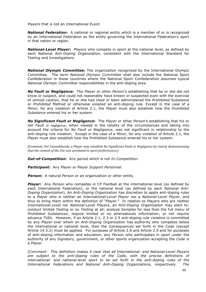*Players* that is not an *International Event*.

**National Federation:** A national or regional entity which is a member of or is recognized by an International Federation as the entity governing the International Federation's sport in that nation or region.

*National-Level Player***:** *Players* who compete in sport at the national level, as defined by each National *Anti-Doping Organization*, consistent with the International Standard for Testing and Investigations.

*National Olympic Committee***:** The organization recognized by the International Olympic Committee. The term *National Olympic Committee* shall also include the National Sport Confederation in those countries where the National Sport Confederation assumes typical *National Olympic Committee* responsibilities in the anti-doping area.

*No Fault or Negligence***:** The *Player* or other *Person*'s establishing that he or she did not know or suspect, and could not reasonably have known or suspected even with the exercise of utmost caution, that he or she had Used or been administered the *Prohibited* Substance or *Prohibited* Method or otherwise violated an anti-doping rule. Except in the case of a *Minor*, for any violation of Article 2.1, the *Player* must also establish how the *Prohibited Substance* entered his or her system.

*No Significant Fault or Negligence***:** The *Player* or other *Person*'s establishing that his or her *Fault* or negligence, when viewed in the totality of the circumstances and taking into account the criteria for *No Fault or Negligence*, was not significant in relationship to the anti-doping rule violation. Except in the case of a *Minor*, for any violation of Article 2.1, the *Player* must also establish how the *Prohibited Substance* entered his or her system.

*[Comment: For Cannabinoids, a Player may establish No Significant Fault or Negligence by clearly demonstrating that the context of the Use was unrelated to sport performance.]* 

*Out-of-Competition***:** Any period which is not *In-Competition*.

*Participant:* Any *Player* or *Player Support Personnel*.

*Person***:** A natural *Person* or an organization or other entity.

*Player***:** Any *Person* who competes in CP Football at the international level (as defined by each International Federation), or the national level (as defined by each *National Anti-Doping Organization*). An *Anti-Doping Organization* has discretion to apply anti-doping rules to a *Player* who is neither an *International-Level Player* nor a *National-Level Player*, and thus to bring them within the definition of "*Player*." In relation to *Players* who are neither *International*-*Level* nor *National-Level Players*, an *Anti-Doping Organization* may elect to: conduct limited *Testing* or no *Testing* at all; analyze *Samples* for less than the full menu of *Prohibited Substances*; require limited or no whereabouts information; or not require advance *TUEs*. However, if an Article 2.1, 2.3 or 2.5 anti-doping rule violation is committed by any *Player* over whom an *Anti-Doping Organization* has authority who competes below the international or national level, then the *Consequences* set forth in the *Code* (except Article 14.3.2) must be applied. For purposes of Article 2.8 and Article 2.9 and for purposes of anti-doping information and education, any *Person* who participates in sport under the authority of any *Signatory*, government, or other sports organization accepting the *Code* is a *Player*.

*[Comment: This definition makes it clear that all International- and National-Level Players are subject to the anti-doping rules of the Code, with the precise definitions of international- and national-level sport to be set forth in the anti-doping rules of the International Federations and National Anti-Doping Organizations, respectively. The*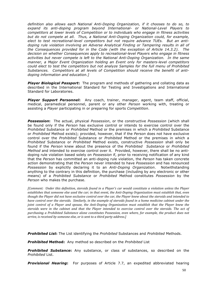*definition also allows each National Anti-Doping Organization, if it chooses to do so, to expand its anti-doping program beyond International- or National-Level Players to competitors at lower levels of Competition or to individuals who engage in fitness activities but do not compete at all. Thus, a National Anti-Doping Organization could, for example, elect to test recreational-level competitors but not require advance TUEs. But an antidoping rule violation involving an Adverse Analytical Finding or Tampering results in all of the Consequences provided for in the Code (with the exception of Article 14.3.2). The decision on whether Consequences apply to recreational-level Players who engage in fitness activities but never compete is left to the National Anti-Doping Organization. In the same manner, a Major Event Organization holding an Event only for masters-level competitors could elect to test the competitors but not analyze Samples for the full menu of Prohibited Substances. Competitors at all levels of Competition should receive the benefit of antidoping information and education.]*

*Player Biological Passport***:** The program and methods of gathering and collating data as described in the International Standard for Testing and Investigations and International Standard for Laboratories.

*Player Support Personnel***:** Any coach, trainer, manager, agent, team staff, official, medical, paramedical personnel, parent or any other *Person* working with, treating or assisting a *Player* participating in or preparing for sports *Competition*.

*Possession***:** The actual, physical *Possession*, or the constructive *Possession* (which shall be found only if the *Person* has exclusive control or intends to exercise control over the *Prohibited* Substance or *Prohibited* Method or the premises in which a *Prohibited* Substance or *Prohibited* Method exists); provided, however, that if the *Person* does not have exclusive control over the *Prohibited* Substance or *Prohibited* Method or the premises in which a *Prohibited* Substance or *Prohibited* Method exists, constructive *Possession* shall only be found if the *Person* knew about the presence of the *Prohibited Substance* or *Prohibited Method* and intended to exercise control over it. Provided, however, there shall be no antidoping rule violation based solely on *Possession* if, prior to receiving notification of any kind that the *Person* has committed an anti-doping rule violation, the *Person* has taken concrete action demonstrating that the *Person* never intended to have *Possession* and has renounced *Possession* by explicitly declaring it to an *Anti-Doping Organization*. Notwithstanding anything to the contrary in this definition, the purchase (including by any electronic or other means) of a *Prohibited Substance* or *Prohibited* Method constitutes *Possession* by the *Person* who makes the purchase.

*[Comment: Under this definition, steroids found in a Player's car would constitute a violation unless the Player establishes that someone else used the car; in that event, the Anti-Doping Organization must establish that, even though the Player did not have exclusive control over the car, the Player knew about the steroids and intended to have control over the steroids. Similarly, in the example of steroids found in a home medicine cabinet under the joint control of a Player and spouse, the Anti-Doping Organization must establish that the Player knew the steroids were in the cabinet and that the Player intended to exercise control over the steroids. The act of purchasing a Prohibited Substance alone constitutes Possession, even where, for example, the product does not arrive, is received by someone else, or is sent to a third party address.]* 

*Prohibited List***:** The List identifying the *Prohibited* Substances and *Prohibited* Methods.

*Prohibited* **Method:** Any method so described on the *Prohibited* List

*Prohibited Substance***:** Any substance, or class of substances, so described on the *Prohibited* List.

**Provisional Hearing:** For purposes of Article 7.7, an expedited abbreviated hearing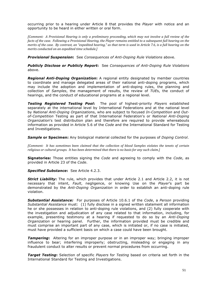occurring prior to a hearing under Article 8 that provides the *Player* with notice and an opportunity to be heard in either written or oral form.

*[Comment: A Provisional Hearing is only a preliminary proceeding, which may not involve a full review of the facts of the case. Following a Provisional Hearing, the Player remains entitled to a subsequent full hearing on the merits of the case. By contrast, an "expedited hearing," as that term is used in Article 7.6, is a full hearing on the merits conducted on an expedited time schedule.]* 

*Provisional Suspension***:** See *Consequences of Anti-Doping Rule Violations* above.

*Publicly Disclose or Publicly Report***:** See *Consequences of Anti-Doping Rule Violations* above.

*Regional Anti-Doping Organization***:** A regional entity designated by member countries to coordinate and manage delegated areas of their national anti-doping programs, which may include the adoption and implementation of anti-doping rules, the planning and collection of *Samples*, the management of results, the review of *TUE*s, the conduct of hearings, and the conduct of educational programs at a regional level.

*Testing Registered Testing Pool***:** The pool of highest-priority *Players* established separately at the international level by International Federations and at the national level by *National Anti-Doping Organizatio*ns, who are subject to focused *In-Competition* and *Outof-Competition* Testing as part of that International Federation's or *National Anti-Doping Organization*'s test distribution plan and therefore are required to provide whereabouts information as provided in Article 5.6 of the *Code* and the International Standard for Testing and Investigations.

*Sample* **or Specimen:** Any biological material collected for the purposes of *Doping Control*.

*[Comment: It has sometimes been claimed that the collection of blood Samples violates the tenets of certain religious or cultural groups. It has been determined that there is no basis for any such claim.]* 

**Signatories:** Those entities signing the *Code* and agreeing to comply with the *Code*, as provided in Article 23 of the *Code*.

*Specified Substance***:** See Article 4.2.3.

**Strict Liability:** The rule, which provides that under Article 2.1 and Article 2.2, it is not necessary that intent, *Fault*, negligence, or knowing Use on the *Player*'s part be demonstrated by the *Anti-Doping Organization* in order to establish an anti-doping rule violation.

*Substantial Assistance:* For purposes of Article 10.6.1 of the *Code*, a *Person* providing *Substantial Assistance* must: (1) fully disclose in a signed written statement all information he or she possesses in relation to anti-doping rule violations, and (2) fully cooperate with the investigation and adjudication of any case related to that information, including, for example, presenting testimony at a hearing if requested to do so by an *Anti-Doping Organization* or hearing panel. Further, the information provided must be credible and must comprise an important part of any case, which is initiated or, if no case is initiated, must have provided a sufficient basis on which a case could have been brought.

**Tampering:** Altering for an improper purpose or in an improper way; bringing improper influence to bear; interfering improperly; obstructing, misleading or engaging in any fraudulent conduct to alter results or prevent normal procedures from occurring.

*Target Testing***:** Selection of specific *Players* for *Testing* based on criteria set forth in the International Standard for Testing and Investigations.